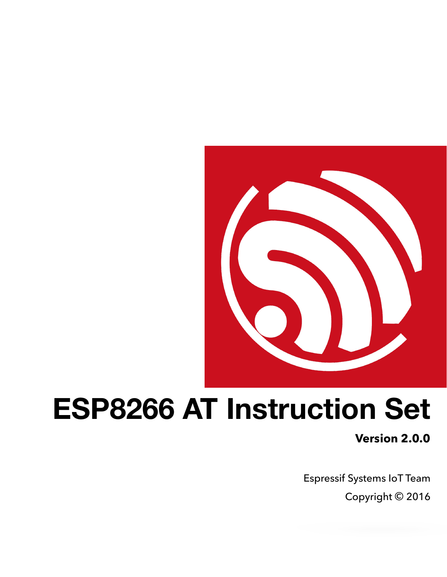

# **ESP8266 AT Instruction Set**

**Version 2.0.0**

Espressif Systems IoT Team Copyright © 2016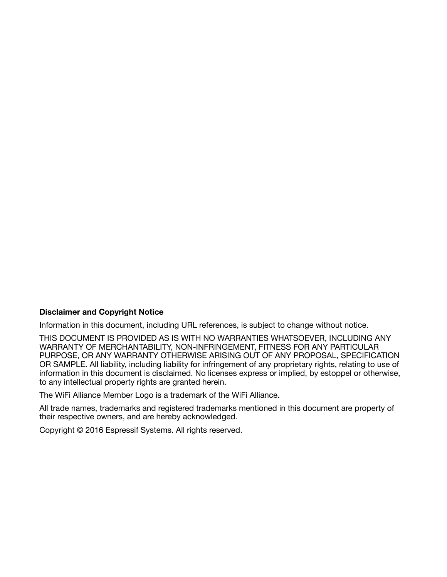#### **Disclaimer and Copyright Notice**

Information in this document, including URL references, is subject to change without notice.

THIS DOCUMENT IS PROVIDED AS IS WITH NO WARRANTIES WHATSOEVER, INCLUDING ANY WARRANTY OF MERCHANTABILITY, NON-INFRINGEMENT, FITNESS FOR ANY PARTICULAR PURPOSE, OR ANY WARRANTY OTHERWISE ARISING OUT OF ANY PROPOSAL, SPECIFICATION OR SAMPLE. All liability, including liability for infringement of any proprietary rights, relating to use of information in this document is disclaimed. No licenses express or implied, by estoppel or otherwise, to any intellectual property rights are granted herein.

The WiFi Alliance Member Logo is a trademark of the WiFi Alliance.

All trade names, trademarks and registered trademarks mentioned in this document are property of their respective owners, and are hereby acknowledged.

Copyright © 2016 Espressif Systems. All rights reserved.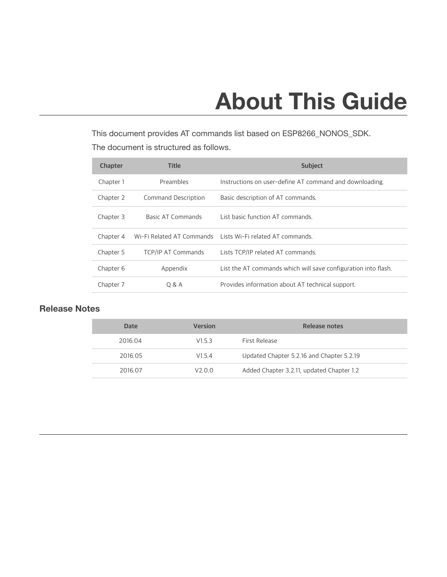# **About This Guide**

This document provides AT commands list based on ESP8266\_NONOS\_SDK. The document is structured as follows.

| <b>Chapter</b> | <b>Title</b>              | <b>Subject</b>                                                 |
|----------------|---------------------------|----------------------------------------------------------------|
| Chapter 1      | Preambles                 | Instructions on user-define AT command and downloading.        |
| Chapter 2      | Command Description       | Basic description of AT commands.                              |
| Chapter 3      | Basic AT Commands         | List basic function AT commands                                |
| Chapter 4      |                           | Wi-Fi Related AT Commands Lists Wi-Fi related AT commands.     |
| Chapter 5      | <b>TCP/IP AT Commands</b> | Lists TCP/IP related AT commands.                              |
| Chapter 6      | Appendix                  | List the AT commands which will save configuration into flash. |
| Chapter 7      | 0 & A                     | Provides information about AT technical support.               |

#### **Release Notes**

| <b>Date</b> | <b>Version</b> | Release notes                             |
|-------------|----------------|-------------------------------------------|
| 2016.04     | V153           | First Release                             |
| 2016.05     | V154           | Updated Chapter 5.2.16 and Chapter 5.2.19 |
| 2016.07     | V2.0.0         | Added Chapter 3.2.11, updated Chapter 1.2 |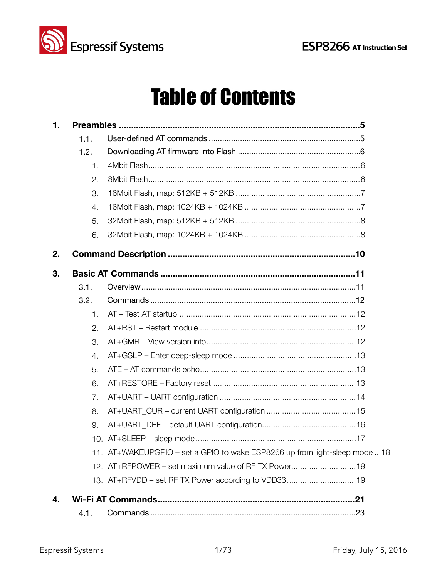



# **Table of Contents**

| 1. |                  |                                                                            |
|----|------------------|----------------------------------------------------------------------------|
|    | 1.1.             |                                                                            |
|    | 1.2.             |                                                                            |
|    | 1.               |                                                                            |
|    | 2.               |                                                                            |
|    | 3.               |                                                                            |
|    | $\overline{4}$ . |                                                                            |
|    | 5.               |                                                                            |
|    | 6.               |                                                                            |
| 2. |                  |                                                                            |
| 3. |                  |                                                                            |
|    | 3.1.             |                                                                            |
|    | 3.2.             |                                                                            |
|    | 1.               |                                                                            |
|    | 2.               |                                                                            |
|    | 3.               |                                                                            |
|    | $\overline{4}$ . |                                                                            |
|    | 5.               |                                                                            |
|    | 6.               |                                                                            |
|    | 7.               |                                                                            |
|    | 8.               |                                                                            |
|    | 9.               |                                                                            |
|    |                  |                                                                            |
|    |                  | 11. AT+WAKEUPGPIO – set a GPIO to wake ESP8266 up from light-sleep mode 18 |
|    |                  | 12. AT+RFPOWER – set maximum value of RF TX Power19                        |
|    |                  | 13. AT+RFVDD – set RF TX Power according to VDD3319                        |
| 4. |                  |                                                                            |
|    | 4.1.             |                                                                            |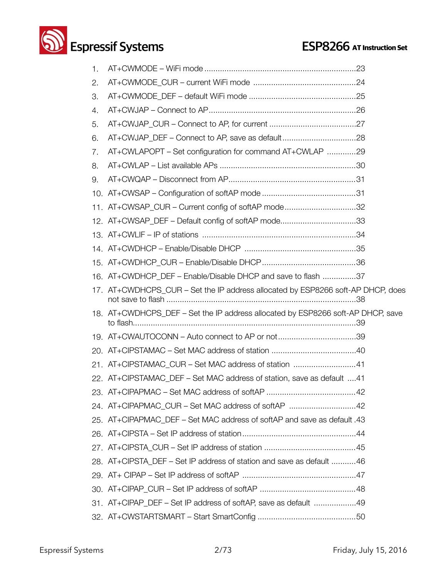# **Solution Systems ESP8266** AT Instruction Set

| 1. |                                                                                 |
|----|---------------------------------------------------------------------------------|
| 2. |                                                                                 |
| З. |                                                                                 |
| 4. |                                                                                 |
| 5. |                                                                                 |
| 6. |                                                                                 |
| 7. | AT+CWLAPOPT – Set configuration for command AT+CWLAP 29                         |
| 8. |                                                                                 |
| 9. |                                                                                 |
|    |                                                                                 |
|    | 11. AT+CWSAP_CUR - Current config of softAP mode32                              |
|    | 12. AT+CWSAP_DEF - Default config of softAP mode33                              |
|    |                                                                                 |
|    |                                                                                 |
|    |                                                                                 |
|    | 16. AT+CWDHCP_DEF - Enable/Disable DHCP and save to flash 37                    |
|    | 17. AT+CWDHCPS_CUR - Set the IP address allocated by ESP8266 soft-AP DHCP, does |
|    | 18. AT+CWDHCPS_DEF - Set the IP address allocated by ESP8266 soft-AP DHCP, save |
|    | 19. AT+CWAUTOCONN – Auto connect to AP or not 39                                |
|    |                                                                                 |
|    | 21. AT+CIPSTAMAC_CUR - Set MAC address of station 41                            |
|    | 22. AT+CIPSTAMAC_DEF - Set MAC address of station, save as default 41           |
|    |                                                                                 |
|    | 24. AT+CIPAPMAC CUR - Set MAC address of softAP 42                              |
|    | 25. AT+CIPAPMAC_DEF – Set MAC address of softAP and save as default .43         |
|    |                                                                                 |
|    |                                                                                 |
|    | 28. AT+CIPSTA DEF - Set IP address of station and save as default 46            |
|    |                                                                                 |
|    |                                                                                 |
|    | 31. AT+CIPAP_DEF – Set IP address of softAP, save as default 49                 |
|    |                                                                                 |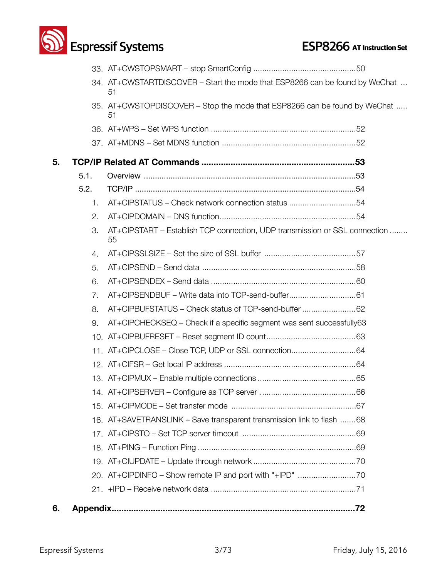

|    |      | 34. AT+CWSTARTDISCOVER – Start the mode that ESP8266 can be found by WeChat<br>51 |
|----|------|-----------------------------------------------------------------------------------|
|    |      | 35. AT+CWSTOPDISCOVER – Stop the mode that ESP8266 can be found by WeChat<br>51   |
|    |      |                                                                                   |
|    |      |                                                                                   |
| 5. |      |                                                                                   |
|    | 5.1. |                                                                                   |
|    | 5.2. |                                                                                   |
|    | 1.   | AT+CIPSTATUS - Check network connection status 54                                 |
|    | 2.   |                                                                                   |
|    | 3.   | AT+CIPSTART – Establish TCP connection, UDP transmission or SSL connection<br>55  |
|    | 4.   |                                                                                   |
|    | 5.   |                                                                                   |
|    | 6.   |                                                                                   |
|    | 7.   | AT+CIPSENDBUF – Write data into TCP-send-buffer61                                 |
|    | 8.   | AT+CIPBUFSTATUS - Check status of TCP-send-buffer 62                              |
|    | 9.   | AT+CIPCHECKSEQ – Check if a specific segment was sent successfully63              |
|    |      |                                                                                   |
|    |      | 11. AT+CIPCLOSE - Close TCP, UDP or SSL connection64                              |
|    |      |                                                                                   |
|    |      |                                                                                   |
|    |      |                                                                                   |
|    |      |                                                                                   |
|    |      | 16. AT+SAVETRANSLINK - Save transparent transmission link to flash 68             |
|    |      |                                                                                   |
|    |      |                                                                                   |
|    |      |                                                                                   |
|    |      | 20. AT+CIPDINFO - Show remote IP and port with "+IPD" 70                          |
|    |      |                                                                                   |
| 6. |      |                                                                                   |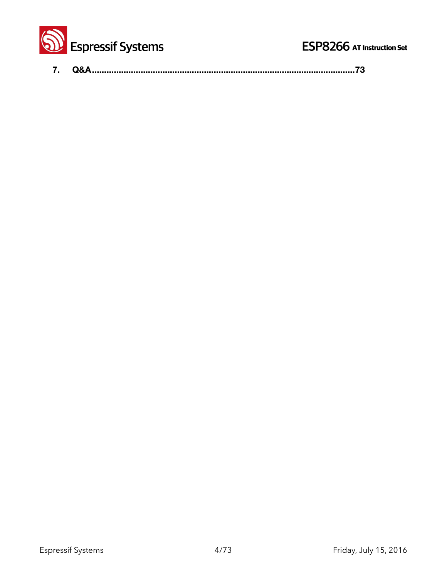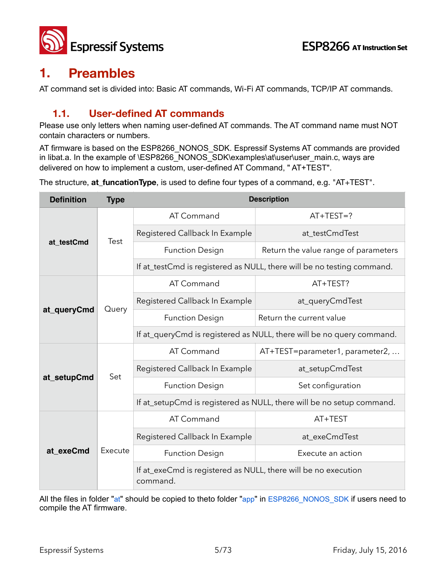

## **1. Preambles**

AT command set is divided into: Basic AT commands, Wi-Fi AT commands, TCP/IP AT commands.

### **1.1. User-defined AT commands**

Please use only letters when naming user-defined AT commands. The AT command name must NOT contain characters or numbers.

AT firmware is based on the ESP8266\_NONOS\_SDK. Espressif Systems AT commands are provided in libat.a. In the example of \ESP8266\_NONOS\_SDK\examples\at\user\user\_main.c, ways are delivered on how to implement a custom, user-defined AT Command, " AT+TEST".

The structure, **at\_funcationType**, is used to define four types of a command, e.g. "AT+TEST".

| <b>Definition</b> | <b>Type</b> | <b>Description</b>                                                         |                                      |  |  |
|-------------------|-------------|----------------------------------------------------------------------------|--------------------------------------|--|--|
|                   | Test        | AT Command                                                                 | $AT+TEST=?$                          |  |  |
|                   |             | Registered Callback In Example                                             | at_testCmdTest                       |  |  |
| at testCmd        |             | <b>Function Design</b>                                                     | Return the value range of parameters |  |  |
|                   |             | If at_testCmd is registered as NULL, there will be no testing command.     |                                      |  |  |
|                   |             | AT Command                                                                 | AT+TEST?                             |  |  |
| at_queryCmd       | Query       | Registered Callback In Example                                             | at_queryCmdTest                      |  |  |
|                   |             | <b>Function Design</b>                                                     | Return the current value             |  |  |
|                   |             | If at_queryCmd is registered as NULL, there will be no query command.      |                                      |  |  |
|                   | Set         | AT Command                                                                 | AT+TEST=parameter1, parameter2,      |  |  |
| at_setupCmd       |             | Registered Callback In Example                                             | at_setupCmdTest                      |  |  |
|                   |             | <b>Function Design</b>                                                     | Set configuration                    |  |  |
|                   |             | If at_setupCmd is registered as NULL, there will be no setup command.      |                                      |  |  |
|                   | Execute     | AT Command                                                                 | AT+TEST                              |  |  |
|                   |             | Registered Callback In Example                                             | at_exeCmdTest                        |  |  |
| at_exeCmd         |             | <b>Function Design</b>                                                     | Execute an action                    |  |  |
|                   |             | If at_exeCmd is registered as NULL, there will be no execution<br>command. |                                      |  |  |

All the files in folder "at" should be copied to theto folder "app" in ESP8266\_NONOS\_SDK if users need to compile the AT firmware.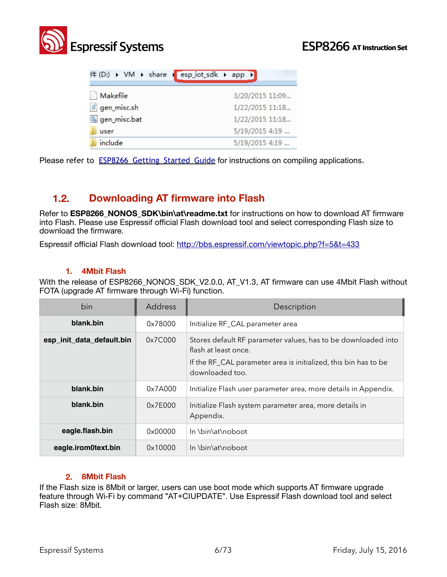

|              | 件 (D:) ▶ VM ▶ share I esp_iot_sdk ▶ app ▶ |
|--------------|-------------------------------------------|
| Makefile     | 3/20/2015 11:09                           |
| gen_misc.sh  | 1/22/2015 11:18                           |
| gen_misc.bat | 1/22/2015 11:18                           |
| user         | 5/19/2015 4:19                            |
| include      | 5/19/2015 4:19                            |

Please refer to **ESP8266 Getting Started Guide** for instructions on compiling applications.

#### **1.2. Downloading AT firmware into Flash**

Refer to **ESP8266\_NONOS\_SDK\bin\at\readme.txt** for instructions on how to download AT firmware into Flash. Please use Espressif official Flash download tool and select corresponding Flash size to download the firmware.

Espressif official Flash download tool:<http://bbs.espressif.com/viewtopic.php?f=5&t=433>

#### **1. 4Mbit Flash**

With the release of ESP8266 NONOS SDK V2.0.0, AT V1.3, AT firmware can use 4Mbit Flash without FOTA (upgrade AT firmware through Wi-Fi) function.

| bin                       | Address | Description                                                                                                                                                                 |
|---------------------------|---------|-----------------------------------------------------------------------------------------------------------------------------------------------------------------------------|
| blank.bin                 | 0x78000 | Initialize RF_CAL parameter area                                                                                                                                            |
| esp_init_data_default.bin | 0x7C000 | Stores default RF parameter values, has to be downloaded into<br>flash at least once.<br>If the RF_CAL parameter area is initialized, this bin has to be<br>downloaded too. |
| blank.bin                 | 0x7A000 | Initialize Flash user parameter area, more details in Appendix.                                                                                                             |
| blank.bin                 | 0x7E000 | Initialize Flash system parameter area, more details in<br>Appendix.                                                                                                        |
| eagle.flash.bin           | 0x00000 | In \bin\at\noboot                                                                                                                                                           |
| eagle.irom0text.bin       | 0x10000 | In \bin\at\noboot                                                                                                                                                           |

#### **2. 8Mbit Flash**

If the Flash size is 8Mbit or larger, users can use boot mode which supports AT firmware upgrade feature through Wi-Fi by command "AT+CIUPDATE". Use Espressif Flash download tool and select Flash size: 8Mbit.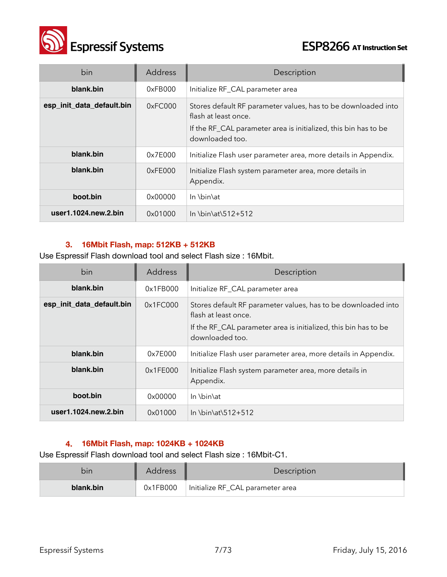

| bin                       | Address | Description                                                                                                                                                                 |
|---------------------------|---------|-----------------------------------------------------------------------------------------------------------------------------------------------------------------------------|
| blank.bin                 | 0xFBOOO | Initialize RF_CAL parameter area                                                                                                                                            |
| esp_init_data_default.bin | 0xFCOOO | Stores default RF parameter values, has to be downloaded into<br>flash at least once.<br>If the RF_CAL parameter area is initialized, this bin has to be<br>downloaded too. |
| blank.bin                 | 0x7E000 | Initialize Flash user parameter area, more details in Appendix.                                                                                                             |
| blank.bin                 | 0xFE000 | Initialize Flash system parameter area, more details in<br>Appendix.                                                                                                        |
| boot.bin                  | 0x00000 | In \bin\at                                                                                                                                                                  |
| user1.1024.new.2.bin      | 0x01000 | In \bin\at\512+512                                                                                                                                                          |

#### **3. 16Mbit Flash, map: 512KB + 512KB**

Use Espressif Flash download tool and select Flash size : 16Mbit.

| bin                          | Address  | Description                                                                                                                                                                 |
|------------------------------|----------|-----------------------------------------------------------------------------------------------------------------------------------------------------------------------------|
| blank.bin                    | 0x1FBOOO | Initialize RF_CAL parameter area                                                                                                                                            |
| esp_init_data_default.bin    | 0x1FCO00 | Stores default RF parameter values, has to be downloaded into<br>flash at least once.<br>If the RF_CAL parameter area is initialized, this bin has to be<br>downloaded too. |
| blank.bin                    | 0x7E000  | Initialize Flash user parameter area, more details in Appendix.                                                                                                             |
| blank.bin                    | 0x1FE000 | Initialize Flash system parameter area, more details in<br>Appendix.                                                                                                        |
| boot.bin                     | 0x00000  | In \bin\at                                                                                                                                                                  |
| user $1.1024$ .new. $2.$ bin | 0x01000  | In \bin\at\512+512                                                                                                                                                          |

#### **4. 16Mbit Flash, map: 1024KB + 1024KB**

Use Espressif Flash download tool and select Flash size : 16Mbit-C1.

| bin       | <b>Address</b> | Description                      |
|-----------|----------------|----------------------------------|
| blank.bin | 0x1FB000       | Initialize RF_CAL parameter area |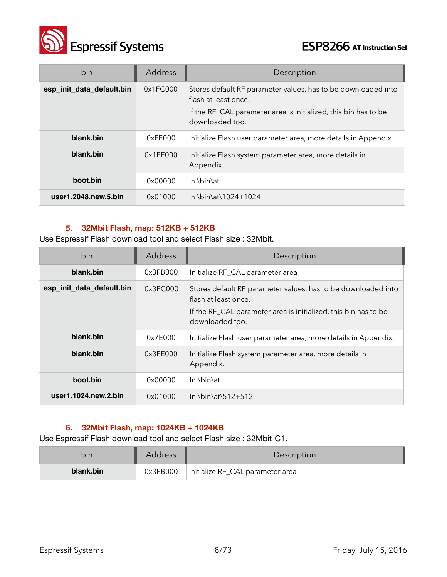

| bin                       | Address  | Description                                                                           |
|---------------------------|----------|---------------------------------------------------------------------------------------|
| esp_init_data_default.bin | 0x1FC000 | Stores default RF parameter values, has to be downloaded into<br>flash at least once. |
|                           |          | If the RF_CAL parameter area is initialized, this bin has to be<br>downloaded too.    |
| blank.bin                 | 0xFE000  | Initialize Flash user parameter area, more details in Appendix.                       |
| blank.bin                 | 0x1FE000 | Initialize Flash system parameter area, more details in<br>Appendix.                  |
| boot.bin                  | 0x00000  | In \bin\at                                                                            |
| user1.2048.new.5.bin      | 0x01000  | In \bin\at\1024+1024                                                                  |

#### **5. 32Mbit Flash, map: 512KB + 512KB**

Use Espressif Flash download tool and select Flash size : 32Mbit.

| bin                       | <b>Address</b> | Description                                                                                                                                                                 |
|---------------------------|----------------|-----------------------------------------------------------------------------------------------------------------------------------------------------------------------------|
| blank.bin                 | 0x3FBO00       | Initialize RF_CAL parameter area                                                                                                                                            |
| esp_init_data_default.bin | 0x3FC000       | Stores default RF parameter values, has to be downloaded into<br>flash at least once.<br>If the RF_CAL parameter area is initialized, this bin has to be<br>downloaded too. |
| blank.bin                 | 0x7E000        | Initialize Flash user parameter area, more details in Appendix.                                                                                                             |
| blank.bin                 | 0x3FE000       | Initialize Flash system parameter area, more details in<br>Appendix.                                                                                                        |
| boot.bin                  | 0x00000        | In \bin\at                                                                                                                                                                  |
| user1.1024.new.2.bin      | 0x01000        | In \bin\at\512+512                                                                                                                                                          |

#### **6. 32Mbit Flash, map: 1024KB + 1024KB**

Use Espressif Flash download tool and select Flash size : 32Mbit-C1.

| bın       | <b>Address</b> | <b>Description</b>               |
|-----------|----------------|----------------------------------|
| blank.bin | 0x3FB000       | Initialize RF_CAL parameter area |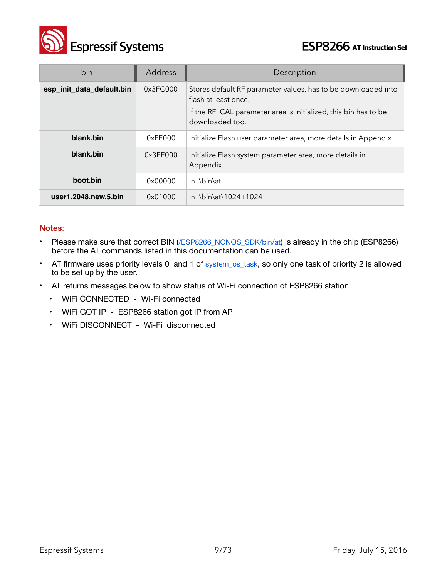

| bin                       | Address  | Description                                                                                                                                                                 |
|---------------------------|----------|-----------------------------------------------------------------------------------------------------------------------------------------------------------------------------|
| esp_init_data_default.bin | 0x3FC000 | Stores default RF parameter values, has to be downloaded into<br>flash at least once.<br>If the RF_CAL parameter area is initialized, this bin has to be<br>downloaded too. |
| blank.bin                 | 0xFE000  | Initialize Flash user parameter area, more details in Appendix.                                                                                                             |
| blank.bin                 | 0x3FE000 | Initialize Flash system parameter area, more details in<br>Appendix.                                                                                                        |
| boot.bin                  | 0x00000  | In \bin\at                                                                                                                                                                  |
| user1.2048.new.5.bin      | 0x01000  | In \bin\at\1024+1024                                                                                                                                                        |

#### **Notes**:

- Please make sure that correct BIN (/ESP8266\_NONOS\_SDK/bin/at) is already in the chip (ESP8266) before the AT commands listed in this documentation can be used.
- AT firmware uses priority levels 0 and 1 of system\_os\_task, so only one task of priority 2 is allowed to be set up by the user.
- AT returns messages below to show status of Wi-Fi connection of ESP8266 station
	- ‣ WiFi CONNECTED Wi-Fi connected
	- ‣ WiFi GOT IP ESP8266 station got IP from AP
	- ‣ WiFi DISCONNECT Wi-Fi disconnected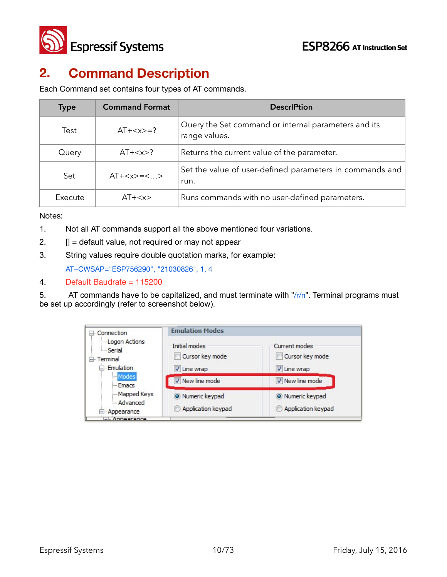

# **2. Command Description**

Each Command set contains four types of AT commands.

| <b>Type</b> | <b>Command Format</b> | <b>DescriPtion</b>                                                    |
|-------------|-----------------------|-----------------------------------------------------------------------|
| Test        | $AT+=?$               | Query the Set command or internal parameters and its<br>range values. |
| Query       | $AT+$ ?               | Returns the current value of the parameter.                           |
| Set         | $AT+=<>$              | Set the value of user-defined parameters in commands and<br>run.      |
| Execute     | $AT+$                 | Runs commands with no user-defined parameters.                        |

Notes:

- 1. Not all AT commands support all the above mentioned four variations.
- 2.  $\Box$  = default value, not required or may not appear
- 3. String values require double quotation marks, for example:

AT+CWSAP="ESP756290", "21030826", 1, 4

#### 4. Default Baudrate = 115200

5. AT commands have to be capitalized, and must terminate with " $/r/n$ ". Terminal programs must be set up accordingly (refer to screenshot below).

| □ Connection                                                                                                             | <b>Emulation Modes</b>                                           |                                                                    |  |
|--------------------------------------------------------------------------------------------------------------------------|------------------------------------------------------------------|--------------------------------------------------------------------|--|
| Logon Actions<br><b>Serial</b><br>E-Terminal<br>- Emulation<br>Modes<br>- Emacs<br>Mapped Keys<br>Advanced<br>Appearance | Initial modes<br>Cursor key mode<br>V Line wrap<br>New line mode | Current modes<br>Cursor key mode<br>V Line wrap<br>V New line mode |  |
|                                                                                                                          | O Numeric keypad<br>Application keypad                           | O Numeric keypad<br>Application keypad                             |  |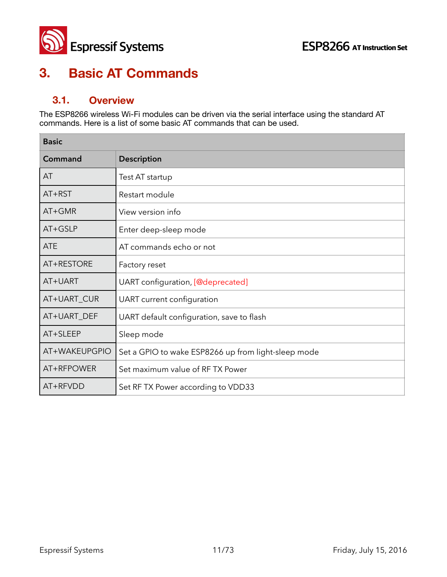

## **3. Basic AT Commands**

### **3.1. Overview**

The ESP8266 wireless Wi-Fi modules can be driven via the serial interface using the standard AT commands. Here is a list of some basic AT commands that can be used.

| <b>Basic</b>  |                                                     |
|---------------|-----------------------------------------------------|
| Command       | <b>Description</b>                                  |
| AT            | Test AT startup                                     |
| $AT+RST$      | Restart module                                      |
| $AT+GMR$      | View version info                                   |
| AT+GSLP       | Enter deep-sleep mode                               |
| <b>ATE</b>    | AT commands echo or not                             |
| AT+RESTORE    | Factory reset                                       |
| AT+UART       | UART configuration, [@deprecated]                   |
| AT+UART_CUR   | UART current configuration                          |
| AT+UART_DEF   | UART default configuration, save to flash           |
| AT+SLEEP      | Sleep mode                                          |
| AT+WAKEUPGPIO | Set a GPIO to wake ESP8266 up from light-sleep mode |
| AT+RFPOWER    | Set maximum value of RF TX Power                    |
| AT+RFVDD      | Set RF TX Power according to VDD33                  |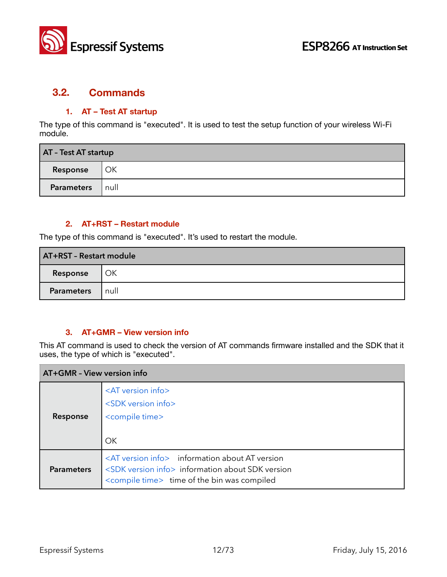

#### **3.2. Commands**

#### **1. AT – Test AT startup**

The type of this command is "executed". It is used to test the setup function of your wireless Wi-Fi module.

| AT - Test AT startup |      |  |
|----------------------|------|--|
| Response             | OK   |  |
| <b>Parameters</b>    | null |  |

#### **2. AT+RST – Restart module**

The type of this command is "executed". It's used to restart the module.

| AT+RST - Restart module |      |  |
|-------------------------|------|--|
| Response                | OK   |  |
| <b>Parameters</b>       | null |  |

#### **3. AT+GMR – View version info**

This AT command is used to check the version of AT commands firmware installed and the SDK that it uses, the type of which is "executed".

| AT+GMR - View version info |                                                                                                                                                                                         |  |  |
|----------------------------|-----------------------------------------------------------------------------------------------------------------------------------------------------------------------------------------|--|--|
| Response                   | <at info="" version=""><br/><sdk info="" version=""><br/><compile time=""><br/>OK</compile></sdk></at>                                                                                  |  |  |
| <b>Parameters</b>          | <at info="" version=""> information about AT version<br/><sdk info="" version=""> information about SDK version<br/><compile time=""> time of the bin was compiled</compile></sdk></at> |  |  |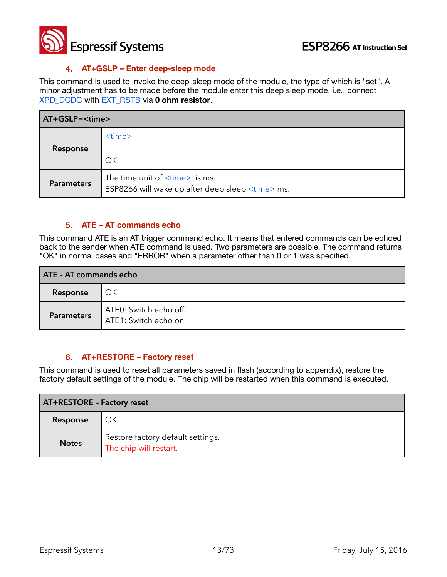

#### **4. AT+GSLP – Enter deep-sleep mode**

This command is used to invoke the deep-sleep mode of the module, the type of which is "set". A minor adjustment has to be made before the module enter this deep sleep mode, i.e., connect XPD\_DCDC with EXT\_RSTB via **0 ohm resistor**.

| AT+GSLP= <time></time> |                                                                                                      |  |
|------------------------|------------------------------------------------------------------------------------------------------|--|
| Response               | $<$ time $>$<br>OK                                                                                   |  |
| <b>Parameters</b>      | The time unit of $\times$ time $>$ is ms.<br>ESP8266 will wake up after deep sleep <time> ms.</time> |  |

#### **5. ATE – AT commands echo**

This command ATE is an AT trigger command echo. It means that entered commands can be echoed back to the sender when ATE command is used. Two parameters are possible. The command returns "OK" in normal cases and "ERROR" when a parameter other than 0 or 1 was specified.

| <b>ATE - AT commands echo</b> |                                               |  |
|-------------------------------|-----------------------------------------------|--|
| Response                      | OK                                            |  |
| <b>Parameters</b>             | ATE0: Switch echo off<br>ATE1: Switch echo on |  |

#### **6. AT+RESTORE – Factory reset**

This command is used to reset all parameters saved in flash (according to appendix), restore the factory default settings of the module. The chip will be restarted when this command is executed.

| <b>AT+RESTORE - Factory reset</b> |                                                             |
|-----------------------------------|-------------------------------------------------------------|
| Response                          | ОК                                                          |
| <b>Notes</b>                      | Restore factory default settings.<br>The chip will restart. |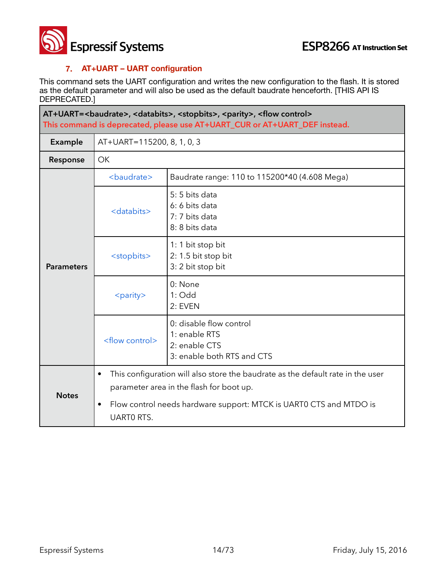

#### **7. AT+UART – UART configuration**

This command sets the UART configuration and writes the new configuration to the flash. It is stored as the default parameter and will also be used as the default baudrate henceforth. [THIS API IS DEPRECATED.]

| AT+UART=<br>AT+UART=<br>AT+UART=<br>AT+UART=<br>AT+UART=<br>AT+UART=<br>AT+UART=<br>AT+UART=<br>AT+UART=<br>AT+UART=<br>AT+UART=<br>AT+UART=<br>AT+UART=<br>AT+UART=<br>AT+UART= <br<br>This command is deprecated, please use AT+UART_CUR or AT+UART_DEF instead.</br<br> |                                |                                                                                                                             |  |
|----------------------------------------------------------------------------------------------------------------------------------------------------------------------------------------------------------------------------------------------------------------------------|--------------------------------|-----------------------------------------------------------------------------------------------------------------------------|--|
| <b>Example</b>                                                                                                                                                                                                                                                             |                                | AT+UART=115200, 8, 1, 0, 3                                                                                                  |  |
| Response                                                                                                                                                                                                                                                                   | <b>OK</b>                      |                                                                                                                             |  |
|                                                                                                                                                                                                                                                                            | <baudrate></baudrate>          | Baudrate range: 110 to 115200*40 (4.608 Mega)                                                                               |  |
| <b>Parameters</b>                                                                                                                                                                                                                                                          | <databits></databits>          | 5:5 bits data<br>6: 6 bits data<br>7: 7 bits data<br>8: 8 bits data                                                         |  |
|                                                                                                                                                                                                                                                                            | <stopbits></stopbits>          | 1: 1 bit stop bit<br>2: 1.5 bit stop bit<br>3: 2 bit stop bit                                                               |  |
|                                                                                                                                                                                                                                                                            | <parity></parity>              | 0: None<br>$1:$ Odd<br>2: EVEN                                                                                              |  |
|                                                                                                                                                                                                                                                                            | <flow control=""></flow>       | 0: disable flow control<br>1: enable RTS<br>2: enable CTS<br>3: enable both RTS and CTS                                     |  |
| <b>Notes</b>                                                                                                                                                                                                                                                               | $\bullet$                      | This configuration will also store the baudrate as the default rate in the user<br>parameter area in the flash for boot up. |  |
|                                                                                                                                                                                                                                                                            | $\bullet$<br><b>UARTO RTS.</b> | Flow control needs hardware support: MTCK is UARTO CTS and MTDO is                                                          |  |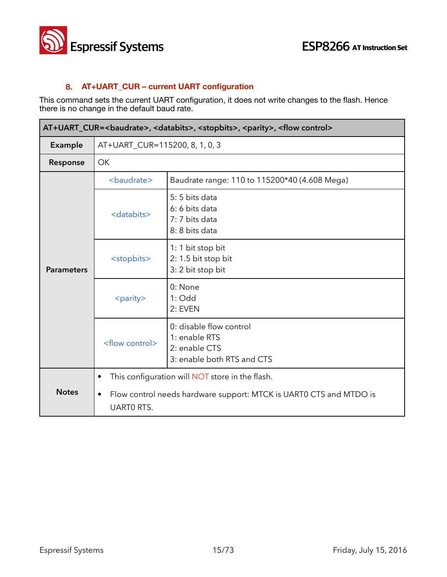

#### **8. AT+UART\_CUR – current UART configuration**

This command sets the current UART configuration, it does not write changes to the flash. Hence there is no change in the default baud rate.

| AT+UART_CUR=<br>baudrate>, <databits>, <stopbits>, <parity>, <flow control=""></flow></parity></stopbits></databits> |                                             |                                                                                                                       |
|----------------------------------------------------------------------------------------------------------------------|---------------------------------------------|-----------------------------------------------------------------------------------------------------------------------|
| Example                                                                                                              | AT+UART_CUR=115200, 8, 1, 0, 3              |                                                                                                                       |
| Response                                                                                                             | <b>OK</b>                                   |                                                                                                                       |
|                                                                                                                      | <baudrate></baudrate>                       | Baudrate range: 110 to 115200*40 (4.608 Mega)                                                                         |
| <b>Parameters</b>                                                                                                    | <databits></databits>                       | 5: 5 bits data<br>6: 6 bits data<br>7: 7 bits data<br>8: 8 bits data                                                  |
|                                                                                                                      | <stopbits></stopbits>                       | 1: 1 bit stop bit<br>2: 1.5 bit stop bit<br>3: 2 bit stop bit                                                         |
|                                                                                                                      | <parity></parity>                           | 0: None<br>$1:$ Odd<br>2: EVEN                                                                                        |
|                                                                                                                      | <flow control=""></flow>                    | 0: disable flow control<br>1: enable RTS<br>2: enable CTS<br>3: enable both RTS and CTS                               |
| <b>Notes</b>                                                                                                         | $\bullet$<br>$\bullet$<br><b>UARTO RTS.</b> | This configuration will NOT store in the flash.<br>Flow control needs hardware support: MTCK is UART0 CTS and MTDO is |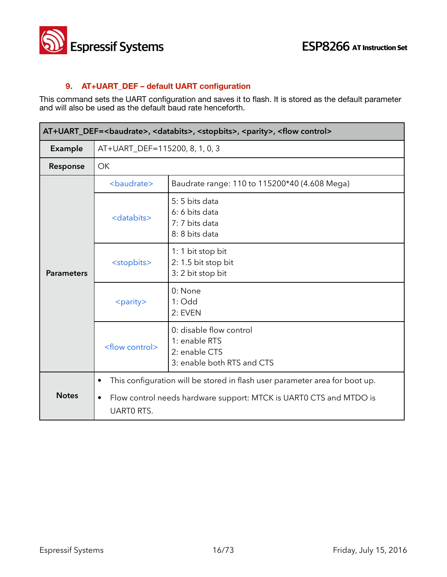

#### **9. AT+UART\_DEF – default UART configuration**

This command sets the UART configuration and saves it to flash. It is stored as the default parameter and will also be used as the default baud rate henceforth.

| AT+UART_DEF=<br>baudrate>, <databits>, <stopbits>, <parity>, <flow control=""></flow></parity></stopbits></databits> |                                             |                                                                                                                                                   |  |
|----------------------------------------------------------------------------------------------------------------------|---------------------------------------------|---------------------------------------------------------------------------------------------------------------------------------------------------|--|
| Example                                                                                                              |                                             | AT+UART_DEF=115200, 8, 1, 0, 3                                                                                                                    |  |
| Response                                                                                                             | <b>OK</b>                                   |                                                                                                                                                   |  |
|                                                                                                                      | <baudrate></baudrate>                       | Baudrate range: 110 to 115200*40 (4.608 Mega)                                                                                                     |  |
| <b>Parameters</b>                                                                                                    | <databits></databits>                       | 5:5 bits data<br>6: 6 bits data<br>7: 7 bits data<br>8: 8 bits data                                                                               |  |
|                                                                                                                      | <stopbits></stopbits>                       | 1: 1 bit stop bit<br>2: 1.5 bit stop bit<br>3: 2 bit stop bit                                                                                     |  |
|                                                                                                                      | <parity></parity>                           | 0: None<br>$1:$ Odd<br>2: EVEN                                                                                                                    |  |
|                                                                                                                      | <flow control=""></flow>                    | 0: disable flow control<br>1: enable RTS<br>2: enable CTS<br>3: enable both RTS and CTS                                                           |  |
| <b>Notes</b>                                                                                                         | $\bullet$<br>$\bullet$<br><b>UARTO RTS.</b> | This configuration will be stored in flash user parameter area for boot up.<br>Flow control needs hardware support: MTCK is UART0 CTS and MTDO is |  |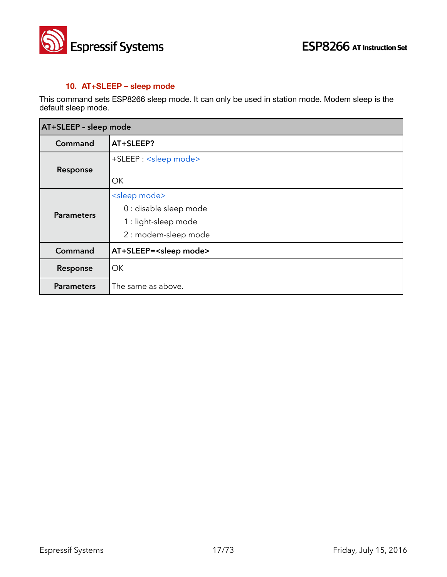

#### **10. AT+SLEEP – sleep mode**

This command sets ESP8266 sleep mode. It can only be used in station mode. Modem sleep is the default sleep mode.

| AT+SLEEP - sleep mode |                                   |
|-----------------------|-----------------------------------|
| Command               | AT+SLEEP?                         |
| Response              | +SLEEP: <sleep mode=""></sleep>   |
|                       | ОК                                |
|                       | <sleep mode=""></sleep>           |
| <b>Parameters</b>     | 0 : disable sleep mode            |
|                       | 1 : light-sleep mode              |
|                       | 2 : modem-sleep mode              |
| Command               | AT+SLEEP= <sleep mode=""></sleep> |
| Response              | OK                                |
| <b>Parameters</b>     | The same as above.                |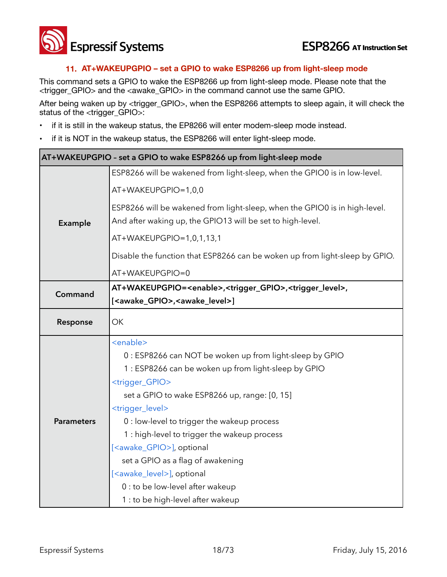

#### **11. AT+WAKEUPGPIO – set a GPIO to wake ESP8266 up from light-sleep mode**

This command sets a GPIO to wake the ESP8266 up from light-sleep mode. Please note that the <trigger\_GPIO> and the <awake\_GPIO> in the command cannot use the same GPIO.

After being waken up by <trigger\_GPIO>, when the ESP8266 attempts to sleep again, it will check the status of the <trigger\_GPIO>:

- if it is still in the wakeup status, the EP8266 will enter modem-sleep mode instead.
- if it is NOT in the wakeup status, the ESP8266 will enter light-sleep mode.

| AT+WAKEUPGPIO - set a GPIO to wake ESP8266 up from light-sleep mode |                                                                                                 |  |
|---------------------------------------------------------------------|-------------------------------------------------------------------------------------------------|--|
|                                                                     | ESP8266 will be wakened from light-sleep, when the GPIO0 is in low-level.                       |  |
|                                                                     | AT+WAKEUPGPIO=1,0,0                                                                             |  |
|                                                                     | ESP8266 will be wakened from light-sleep, when the GPIO0 is in high-level.                      |  |
| Example                                                             | And after waking up, the GPIO13 will be set to high-level.                                      |  |
|                                                                     | AT+WAKEUPGPIO=1,0,1,13,1                                                                        |  |
|                                                                     | Disable the function that ESP8266 can be woken up from light-sleep by GPIO.                     |  |
|                                                                     | AT+WAKEUPGPIO=0                                                                                 |  |
| Command                                                             | AT+WAKEUPGPIO= <enable>,<trigger_gpio>,<trigger_level>,</trigger_level></trigger_gpio></enable> |  |
|                                                                     | [ <awake_gpio>,<awake_level>]</awake_level></awake_gpio>                                        |  |
| Response                                                            | OK                                                                                              |  |
|                                                                     | <enable></enable>                                                                               |  |
|                                                                     | 0 : ESP8266 can NOT be woken up from light-sleep by GPIO                                        |  |
|                                                                     | 1 : ESP8266 can be woken up from light-sleep by GPIO                                            |  |
|                                                                     | <trigger_gpio></trigger_gpio>                                                                   |  |
|                                                                     | set a GPIO to wake ESP8266 up, range: [0, 15]                                                   |  |
|                                                                     | <trigger_level></trigger_level>                                                                 |  |
| <b>Parameters</b>                                                   | 0 : low-level to trigger the wakeup process                                                     |  |
|                                                                     | 1 : high-level to trigger the wakeup process                                                    |  |
|                                                                     | [ <awake_gpio>], optional</awake_gpio>                                                          |  |
|                                                                     | set a GPIO as a flag of awakening                                                               |  |
|                                                                     | [ <awake_level>], optional</awake_level>                                                        |  |
|                                                                     | 0 : to be low-level after wakeup                                                                |  |
|                                                                     | 1 : to be high-level after wakeup                                                               |  |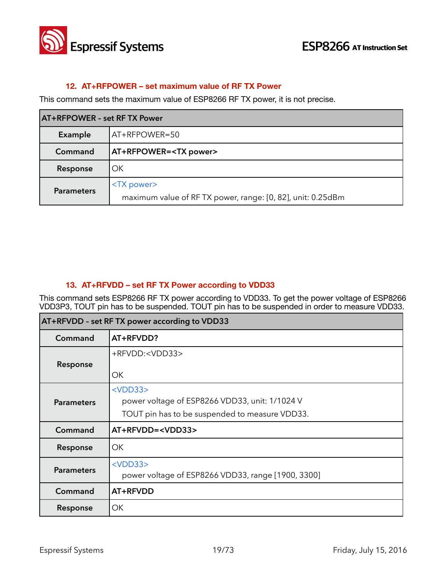

#### **12. AT+RFPOWER – set maximum value of RF TX Power**

This command sets the maximum value of ESP8266 RF TX power, it is not precise.

| <b>AT+RFPOWER - set RFTX Power</b> |                                                                                    |
|------------------------------------|------------------------------------------------------------------------------------|
| Example                            | AT+RFPOWER=50                                                                      |
| Command                            | <b>AT+RFPOWER=<tx power=""></tx></b>                                               |
| Response                           | OK                                                                                 |
| <b>Parameters</b>                  | <tx power=""><br/>maximum value of RF TX power, range: [0, 82], unit: 0.25dBm</tx> |

#### **13. AT+RFVDD – set RF TX Power according to VDD33**

This command sets ESP8266 RF TX power according to VDD33. To get the power voltage of ESP8266 VDD3P3, TOUT pin has to be suspended. TOUT pin has to be suspended in order to measure VDD33.

| AT+RFVDD - set RF TX power according to VDD33 |                                                                                                                   |
|-----------------------------------------------|-------------------------------------------------------------------------------------------------------------------|
| Command                                       | AT+RFVDD?                                                                                                         |
| Response                                      | +RFVDD: <vdd33><br/>ОK</vdd33>                                                                                    |
| <b>Parameters</b>                             | $<$ VDD $33>$<br>power voltage of ESP8266 VDD33, unit: 1/1024 V<br>TOUT pin has to be suspended to measure VDD33. |
| Command                                       | AT+RFVDD= <vdd33></vdd33>                                                                                         |
| Response                                      | OK                                                                                                                |
| <b>Parameters</b>                             | $<$ VDD $33>$<br>power voltage of ESP8266 VDD33, range [1900, 3300]                                               |
| Command                                       | AT+RFVDD                                                                                                          |
| Response                                      | OK                                                                                                                |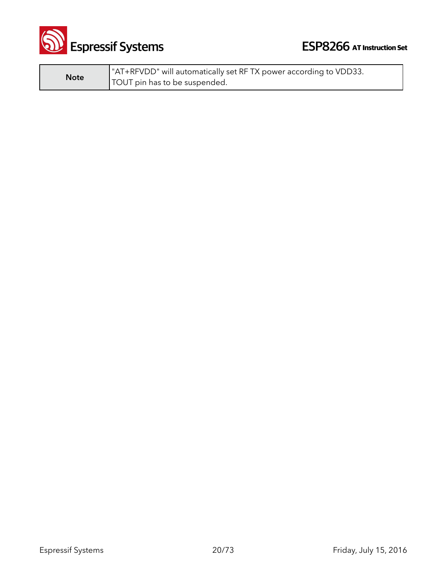

**Note** "AT+RFVDD" will automatically set RF TX power according to VDD33. TOUT pin has to be suspended.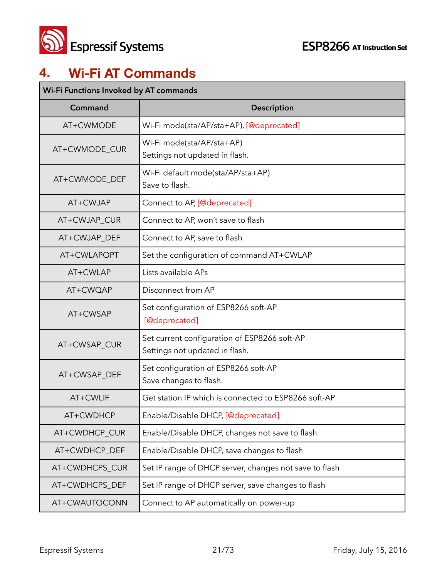

## **4. Wi-Fi AT Commands**

| Wi-Fi Functions Invoked by AT commands |                                                                                |  |
|----------------------------------------|--------------------------------------------------------------------------------|--|
| Command                                | <b>Description</b>                                                             |  |
| AT+CWMODE                              | Wi-Fi mode(sta/AP/sta+AP), [@deprecated]                                       |  |
| AT+CWMODE_CUR                          | Wi-Fi mode(sta/AP/sta+AP)<br>Settings not updated in flash.                    |  |
| AT+CWMODE_DEF                          | Wi-Fi default mode(sta/AP/sta+AP)<br>Save to flash.                            |  |
| AT+CWJAP                               | Connect to AP, [@deprecated]                                                   |  |
| AT+CWJAP_CUR                           | Connect to AP, won't save to flash                                             |  |
| AT+CWJAP_DEF                           | Connect to AP, save to flash                                                   |  |
| AT+CWLAPOPT                            | Set the configuration of command AT+CWLAP                                      |  |
| AT+CWLAP                               | Lists available APs                                                            |  |
| AT+CWQAP                               | Disconnect from AP                                                             |  |
| AT+CWSAP                               | Set configuration of ESP8266 soft-AP<br>[@deprecated]                          |  |
| AT+CWSAP_CUR                           | Set current configuration of ESP8266 soft-AP<br>Settings not updated in flash. |  |
| AT+CWSAP_DEF                           | Set configuration of ESP8266 soft-AP<br>Save changes to flash.                 |  |
| AT+CWLIF                               | Get station IP which is connected to ESP8266 soft-AP                           |  |
| AT+CWDHCP                              | Enable/Disable DHCP, [@deprecated]                                             |  |
| AT+CWDHCP_CUR                          | Enable/Disable DHCP, changes not save to flash                                 |  |
| AT+CWDHCP_DEF                          | Enable/Disable DHCP, save changes to flash                                     |  |
| AT+CWDHCPS_CUR                         | Set IP range of DHCP server, changes not save to flash                         |  |
| AT+CWDHCPS_DEF                         | Set IP range of DHCP server, save changes to flash                             |  |
| AT+CWAUTOCONN                          | Connect to AP automatically on power-up                                        |  |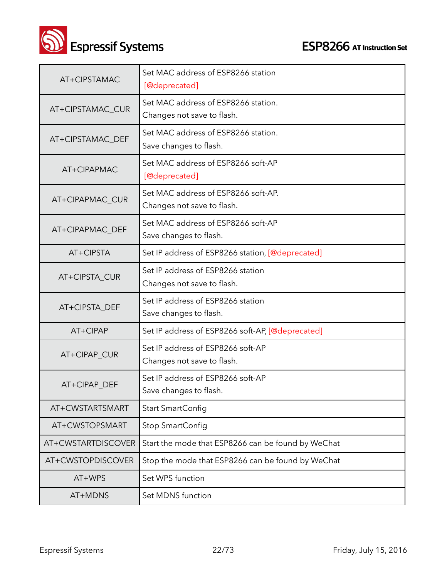

 **Espressif Systems ESP8266** AT Instruction Set

| AT+CIPSTAMAC       | Set MAC address of ESP8266 station<br>[@deprecated]               |
|--------------------|-------------------------------------------------------------------|
| AT+CIPSTAMAC_CUR   | Set MAC address of ESP8266 station.<br>Changes not save to flash. |
| AT+CIPSTAMAC_DEF   | Set MAC address of ESP8266 station.<br>Save changes to flash.     |
| AT+CIPAPMAC        | Set MAC address of ESP8266 soft-AP<br>[@deprecated]               |
| AT+CIPAPMAC_CUR    | Set MAC address of ESP8266 soft-AP.<br>Changes not save to flash. |
| AT+CIPAPMAC_DEF    | Set MAC address of ESP8266 soft-AP<br>Save changes to flash.      |
| AT+CIPSTA          | Set IP address of ESP8266 station, [@deprecated]                  |
| AT+CIPSTA_CUR      | Set IP address of ESP8266 station<br>Changes not save to flash.   |
| AT+CIPSTA_DEF      | Set IP address of ESP8266 station<br>Save changes to flash.       |
| AT+CIPAP           | Set IP address of ESP8266 soft-AP, [@deprecated]                  |
| AT+CIPAP_CUR       | Set IP address of ESP8266 soft-AP<br>Changes not save to flash.   |
| AT+CIPAP_DEF       | Set IP address of ESP8266 soft-AP<br>Save changes to flash.       |
| AT+CWSTARTSMART    | Start SmartConfig                                                 |
| AT+CWSTOPSMART     | Stop SmartConfig                                                  |
| AT+CWSTARTDISCOVER | Start the mode that ESP8266 can be found by WeChat                |
| AT+CWSTOPDISCOVER  | Stop the mode that ESP8266 can be found by WeChat                 |
| AT+WPS             | Set WPS function                                                  |
| AT+MDNS            | Set MDNS function                                                 |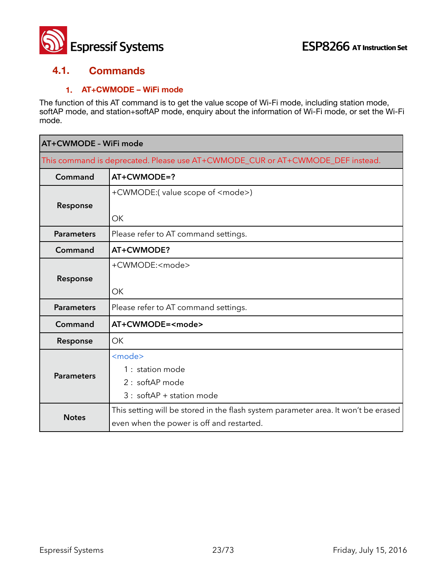

#### **4.1. Commands**

#### **1. AT+CWMODE – WiFi mode**

The function of this AT command is to get the value scope of Wi-Fi mode, including station mode, softAP mode, and station+softAP mode, enquiry about the information of Wi-Fi mode, or set the Wi-Fi mode.

| AT+CWMODE - WiFi mode                                                          |                                                                                    |
|--------------------------------------------------------------------------------|------------------------------------------------------------------------------------|
| This command is deprecated. Please use AT+CWMODE_CUR or AT+CWMODE_DEF instead. |                                                                                    |
| Command                                                                        | $AT+CWMODE=?$                                                                      |
|                                                                                | +CWMODE:(value scope of <mode>)</mode>                                             |
| Response                                                                       |                                                                                    |
|                                                                                | <b>OK</b>                                                                          |
| <b>Parameters</b>                                                              | Please refer to AT command settings.                                               |
| Command                                                                        | AT+CWMODE?                                                                         |
|                                                                                | +CWMODE: <mode></mode>                                                             |
| Response                                                                       |                                                                                    |
|                                                                                | OK                                                                                 |
| <b>Parameters</b>                                                              | Please refer to AT command settings.                                               |
| Command                                                                        | AT+CWMODE= <mode></mode>                                                           |
| Response                                                                       | <b>OK</b>                                                                          |
|                                                                                | <mode></mode>                                                                      |
| <b>Parameters</b>                                                              | 1 : station mode                                                                   |
|                                                                                | 2: softAP mode                                                                     |
|                                                                                | 3 : softAP + station mode                                                          |
|                                                                                | This setting will be stored in the flash system parameter area. It won't be erased |
| <b>Notes</b>                                                                   | even when the power is off and restarted.                                          |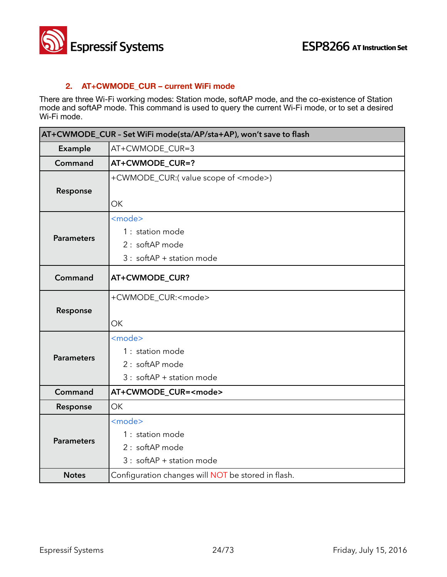

#### **2. AT+CWMODE\_CUR – current WiFi mode**

There are three Wi-Fi working modes: Station mode, softAP mode, and the co-existence of Station mode and softAP mode. This command is used to query the current Wi-Fi mode, or to set a desired Wi-Fi mode.

| AT+CWMODE_CUR - Set WiFi mode(sta/AP/sta+AP), won't save to flash |                                                                                                  |  |
|-------------------------------------------------------------------|--------------------------------------------------------------------------------------------------|--|
| Example                                                           | AT+CWMODE_CUR=3                                                                                  |  |
| Command                                                           | AT+CWMODE_CUR=?                                                                                  |  |
| Response                                                          | +CWMODE_CUR:(value scope of <mode>)<br/>OK</mode>                                                |  |
| <b>Parameters</b>                                                 | <mode><br/>1 : station mode<br/>2 : softAP mode<br/><math>3:</math> softAP + station mode</mode> |  |
| Command                                                           | AT+CWMODE_CUR?                                                                                   |  |
| Response                                                          | +CWMODE_CUR: <mode><br/>OK</mode>                                                                |  |
| <b>Parameters</b>                                                 | <mode><br/>1 : station mode<br/>2 : softAP mode<br/><math>3:</math> softAP + station mode</mode> |  |
| Command                                                           | AT+CWMODE_CUR= <mode></mode>                                                                     |  |
| Response                                                          | OK                                                                                               |  |
| <b>Parameters</b>                                                 | <mode><br/>1 : station mode<br/>2 : softAP mode<br/><math>3:</math> softAP + station mode</mode> |  |
| <b>Notes</b>                                                      | Configuration changes will NOT be stored in flash.                                               |  |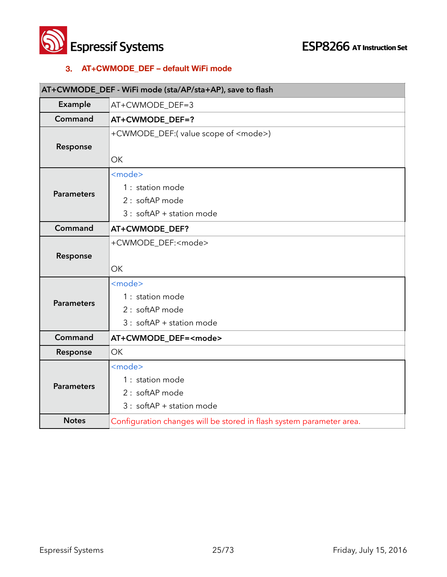

#### **3. AT+CWMODE\_DEF – default WiFi mode**

### **AT+CWMODE\_DEF - WiFi mode (sta/AP/sta+AP), save to flash Example** AT+CWMODE DEF=3 **Command AT+CWMODE\_DEF=? Response** +CWMODE\_DEF:( value scope of <mode>) **OK Parameters** <mode> 1 : station mode 2 : softAP mode 3 : softAP + station mode **Command AT+CWMODE\_DEF? Response** +CWMODE\_DEF:<mode> **OK Parameters** <mode> 1 : station mode 2 : softAP mode 3 : softAP + station mode **Command AT+CWMODE\_DEF=<mode> Response** OK **Parameters** <mode> 1 : station mode 2 : softAP mode 3 : softAP + station mode **Notes** Configuration changes will be stored in flash system parameter area.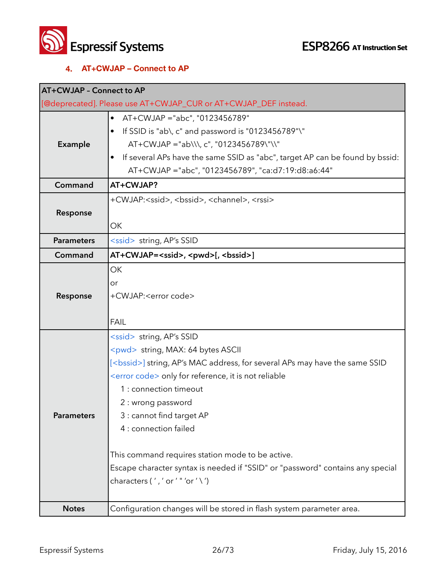

#### **4. AT+CWJAP – Connect to AP**

| <b>AT+CWJAP - Connect to AP</b> |                                                                                     |
|---------------------------------|-------------------------------------------------------------------------------------|
|                                 | [@deprecated]. Please use AT+CWJAP_CUR or AT+CWJAP_DEF instead.                     |
|                                 | AT+CWJAP ="abc", "0123456789"<br>$\bullet$                                          |
|                                 | If SSID is "ab\, c" and password is "0123456789"\"                                  |
| <b>Example</b>                  | $AT+CWJAP = "ab\1, c", "0123456789\$ "\\"                                           |
|                                 | If several APs have the same SSID as "abc", target AP can be found by bssid:        |
|                                 | AT+CWJAP ="abc", "0123456789", "ca:d7:19:d8:a6:44"                                  |
| Command                         | AT+CWJAP?                                                                           |
|                                 | +CWJAP: <ssid>, <bssid>, <channel>, <rssi></rssi></channel></bssid></ssid>          |
| Response                        |                                                                                     |
|                                 | ОK                                                                                  |
| <b>Parameters</b>               | <ssid> string, AP's SSID</ssid>                                                     |
| Command                         | AT+CWJAP= <ssid>, <pwd>[, <bssid>]</bssid></pwd></ssid>                             |
|                                 | OK                                                                                  |
|                                 | or                                                                                  |
| Response                        | +CWJAP: <error code=""></error>                                                     |
|                                 |                                                                                     |
|                                 | <b>FAIL</b>                                                                         |
|                                 | <ssid> string, AP's SSID</ssid>                                                     |
|                                 | <pwd> string, MAX: 64 bytes ASCII</pwd>                                             |
|                                 | [ <bssid>] string, AP's MAC address, for several APs may have the same SSID</bssid> |
|                                 | <error code=""> only for reference, it is not reliable</error>                      |
|                                 | 1 : connection timeout                                                              |
|                                 | 2 : wrong password                                                                  |
| <b>Parameters</b>               | 3 : cannot find target AP                                                           |
|                                 | 4 : connection failed                                                               |
|                                 |                                                                                     |
|                                 | This command requires station mode to be active.                                    |
|                                 | Escape character syntax is needed if "SSID" or "password" contains any special      |
|                                 | characters (','or'"'or'\')                                                          |
|                                 |                                                                                     |
| <b>Notes</b>                    | Configuration changes will be stored in flash system parameter area.                |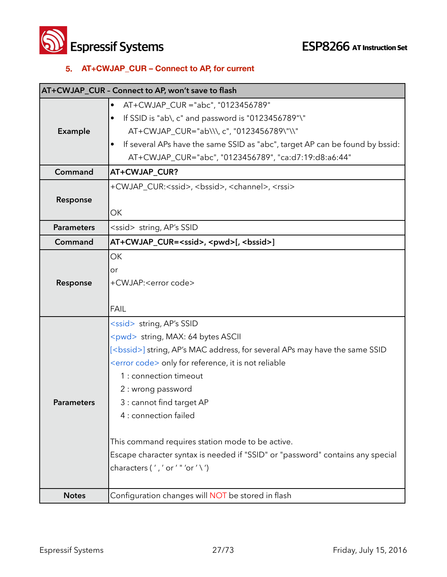**Solution Systems**<br> **ESP8266** AT Instruction Set

#### **5. AT+CWJAP\_CUR – Connect to AP, for current**

|                   | AT+CWJAP_CUR - Connect to AP, won't save to flash                                   |
|-------------------|-------------------------------------------------------------------------------------|
|                   | AT+CWJAP_CUR ="abc", "0123456789"                                                   |
|                   | If SSID is "ab\, c" and password is "0123456789"\"                                  |
| Example           | AT+CWJAP_CUR="ab\\\, c", "0123456789\"\\"                                           |
|                   | If several APs have the same SSID as "abc", target AP can be found by bssid:        |
|                   | AT+CWJAP_CUR="abc", "0123456789", "ca:d7:19:d8:a6:44"                               |
| Command           | AT+CWJAP CUR?                                                                       |
|                   | +CWJAP_CUR: <ssid>, <bssid>, <channel>, <rssi></rssi></channel></bssid></ssid>      |
| Response          |                                                                                     |
|                   | OK                                                                                  |
| <b>Parameters</b> | <ssid> string, AP's SSID</ssid>                                                     |
| Command           | AT+CWJAP_CUR= <ssid>, <pwd>[, <br/> <br/>ssid&gt;]</pwd></ssid>                     |
|                   | <b>OK</b>                                                                           |
|                   | or                                                                                  |
| Response          | +CWJAP: <error code=""></error>                                                     |
|                   |                                                                                     |
|                   | <b>FAIL</b>                                                                         |
|                   | <ssid> string, AP's SSID</ssid>                                                     |
|                   | <pwd> string, MAX: 64 bytes ASCII</pwd>                                             |
|                   | [ <bssid>] string, AP's MAC address, for several APs may have the same SSID</bssid> |
|                   | <error code=""> only for reference, it is not reliable</error>                      |
|                   | 1 : connection timeout                                                              |
|                   | 2 : wrong password                                                                  |
| <b>Parameters</b> | 3 : cannot find target AP                                                           |
|                   | 4 : connection failed                                                               |
|                   | This command requires station mode to be active.                                    |
|                   | Escape character syntax is needed if "SSID" or "password" contains any special      |
|                   | characters (','or'"'or'\')                                                          |
|                   |                                                                                     |
| <b>Notes</b>      | Configuration changes will NOT be stored in flash                                   |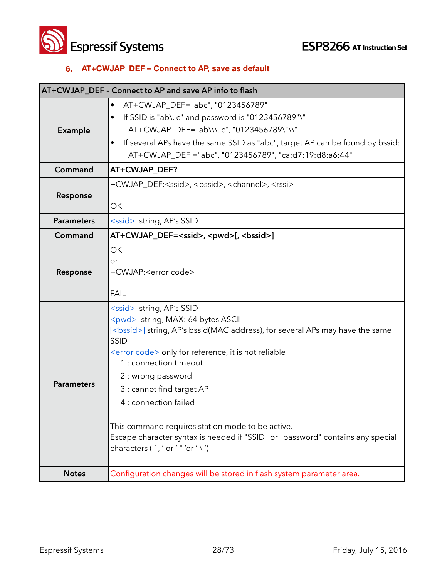**Solution Systems**<br> **ESP8266** AT Instruction Set

#### **6. AT+CWJAP\_DEF – Connect to AP, save as default**

| AT+CWJAP_DEF - Connect to AP and save AP info to flash |                                                                                                                                                                                                                                                                                                                                                                                                                                                                                                                                   |
|--------------------------------------------------------|-----------------------------------------------------------------------------------------------------------------------------------------------------------------------------------------------------------------------------------------------------------------------------------------------------------------------------------------------------------------------------------------------------------------------------------------------------------------------------------------------------------------------------------|
| Example                                                | AT+CWJAP_DEF="abc", "0123456789"<br>٠<br>If SSID is "ab\, c" and password is "0123456789"\"<br>AT+CWJAP_DEF="ab\\\, c", "0123456789\"\\"<br>If several APs have the same SSID as "abc", target AP can be found by bssid:<br>AT+CWJAP_DEF ="abc", "0123456789", "ca:d7:19:d8:a6:44"                                                                                                                                                                                                                                                |
| Command                                                | AT+CWJAP_DEF?                                                                                                                                                                                                                                                                                                                                                                                                                                                                                                                     |
| Response                                               | +CWJAP_DEF: <ssid>, <bssid>, <channel>, <rssi><br/>OK</rssi></channel></bssid></ssid>                                                                                                                                                                                                                                                                                                                                                                                                                                             |
| <b>Parameters</b>                                      | <ssid> string, AP's SSID</ssid>                                                                                                                                                                                                                                                                                                                                                                                                                                                                                                   |
| Command                                                | AT+CWJAP_DEF= <ssid>, <pwd>[, <bssid>]</bssid></pwd></ssid>                                                                                                                                                                                                                                                                                                                                                                                                                                                                       |
| Response                                               | <b>OK</b><br>or<br>+CWJAP: <error code=""><br/><b>FAIL</b></error>                                                                                                                                                                                                                                                                                                                                                                                                                                                                |
| <b>Parameters</b>                                      | <ssid> string, AP's SSID<br/><pwd> string, MAX: 64 bytes ASCII<br/>[<bssid>] string, AP's bssid(MAC address), for several APs may have the same<br/>SSID<br/><error code=""> only for reference, it is not reliable<br/>1 : connection timeout<br/>2 : wrong password<br/>3 : cannot find target AP<br/>4 : connection failed<br/>This command requires station mode to be active.<br/>Escape character syntax is needed if "SSID" or "password" contains any special<br/>characters (','or'"'or'\')</error></bssid></pwd></ssid> |
| <b>Notes</b>                                           | Configuration changes will be stored in flash system parameter area.                                                                                                                                                                                                                                                                                                                                                                                                                                                              |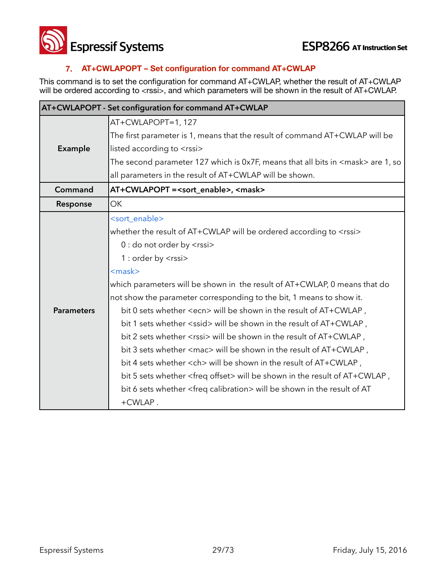

#### **7. AT+CWLAPOPT – Set configuration for command AT+CWLAP**

This command is to set the configuration for command AT+CWLAP, whether the result of AT+CWLAP will be ordered according to <rssi>, and which parameters will be shown in the result of AT+CWLAP.

| AT+CWLAPOPT - Set configuration for command AT+CWLAP |                                                                                                   |
|------------------------------------------------------|---------------------------------------------------------------------------------------------------|
|                                                      | AT+CWLAPOPT=1, 127                                                                                |
|                                                      | The first parameter is 1, means that the result of command AT+CWLAP will be                       |
| Example                                              | listed according to <rssi></rssi>                                                                 |
|                                                      | The second parameter 127 which is 0x7F, means that all bits in $\langle$ mask $\rangle$ are 1, so |
|                                                      | all parameters in the result of AT+CWLAP will be shown.                                           |
| Command                                              | AT+CWLAPOPT = <sort_enable>, <mask></mask></sort_enable>                                          |
| Response                                             | <b>OK</b>                                                                                         |
|                                                      | <sort_enable></sort_enable>                                                                       |
|                                                      | whether the result of AT+CWLAP will be ordered according to <rssi></rssi>                         |
|                                                      | 0 : do not order by <rssi></rssi>                                                                 |
|                                                      | 1 : order by <rssi></rssi>                                                                        |
|                                                      | $<$ mask $>$                                                                                      |
|                                                      | which parameters will be shown in the result of AT+CWLAP, 0 means that do                         |
|                                                      | not show the parameter corresponding to the bit, 1 means to show it.                              |
| <b>Parameters</b>                                    | bit 0 sets whether <ecn> will be shown in the result of AT+CWLAP,</ecn>                           |
|                                                      | bit 1 sets whether <ssid> will be shown in the result of AT+CWLAP,</ssid>                         |
|                                                      | bit 2 sets whether <rssi> will be shown in the result of AT+CWLAP,</rssi>                         |
|                                                      | bit 3 sets whether <mac> will be shown in the result of AT+CWLAP,</mac>                           |
|                                                      | bit 4 sets whether <ch> will be shown in the result of AT+CWLAP,</ch>                             |
|                                                      | bit 5 sets whether <freq offset=""> will be shown in the result of AT+CWLAP,</freq>               |
|                                                      | bit 6 sets whether <freq calibration=""> will be shown in the result of AT</freq>                 |
|                                                      | +CWLAP.                                                                                           |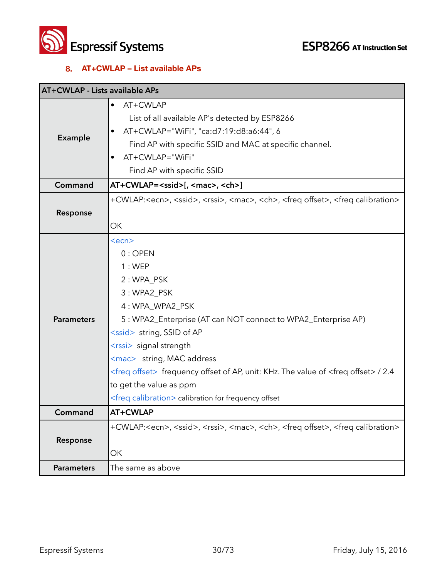

#### **8. AT+CWLAP – List available APs**

| <b>AT+CWLAP - Lists available APs</b> |                                                                                                                                                                                                                                                                                                                                                                                                                                                                      |
|---------------------------------------|----------------------------------------------------------------------------------------------------------------------------------------------------------------------------------------------------------------------------------------------------------------------------------------------------------------------------------------------------------------------------------------------------------------------------------------------------------------------|
| <b>Example</b>                        | AT+CWLAP<br>$\bullet$<br>List of all available AP's detected by ESP8266<br>AT+CWLAP="WiFi", "ca:d7:19:d8:a6:44", 6<br>Find AP with specific SSID and MAC at specific channel.<br>AT+CWLAP="WiFi"<br>Find AP with specific SSID                                                                                                                                                                                                                                       |
| Command                               | AT+CWLAP= <ssid>[, <mac>, <ch>]</ch></mac></ssid>                                                                                                                                                                                                                                                                                                                                                                                                                    |
| Response                              | +CWLAP: <ecn>, <ssid>, <rssi>, <mac>, <ch>, <freq offset="">, <freq calibration=""><br/>OK</freq></freq></ch></mac></rssi></ssid></ecn>                                                                                                                                                                                                                                                                                                                              |
| <b>Parameters</b>                     | $<$ ecn $>$<br>$0:$ OPEN<br>1:WEP<br>2: WPA_PSK<br>3: WPA2_PSK<br>4: WPA_WPA2_PSK<br>5: WPA2_Enterprise (AT can NOT connect to WPA2_Enterprise AP)<br><ssid> string, SSID of AP<br/><rssi> signal strength<br/><mac> string, MAC address<br/><freq offset=""> frequency offset of AP, unit: KHz. The value of <freq offset=""> / 2.4<br/>to get the value as ppm<br/><freq calibration=""> calibration for frequency offset</freq></freq></freq></mac></rssi></ssid> |
| Command                               | AT+CWLAP                                                                                                                                                                                                                                                                                                                                                                                                                                                             |
| Response                              | +CWLAP: <ecn>, <ssid>, <rssi>, <mac>, <ch>, <freq offset="">, <freq calibration=""><br/>ОК</freq></freq></ch></mac></rssi></ssid></ecn>                                                                                                                                                                                                                                                                                                                              |
| <b>Parameters</b>                     | The same as above                                                                                                                                                                                                                                                                                                                                                                                                                                                    |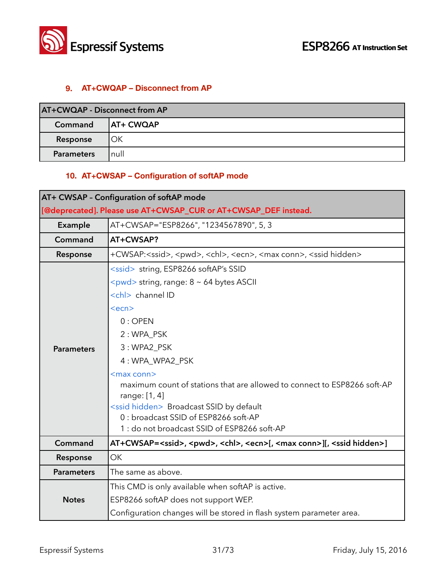

#### **9. AT+CWQAP – Disconnect from AP**

| AT+CWQAP - Disconnect from AP |                   |
|-------------------------------|-------------------|
| Command                       | <b>JAT+ CWQAP</b> |
| Response                      | ОК                |
| <b>Parameters</b>             | null              |

#### **10. AT+CWSAP – Configuration of softAP mode**

| AT+ CWSAP - Configuration of softAP mode                        |                                                                                                                  |
|-----------------------------------------------------------------|------------------------------------------------------------------------------------------------------------------|
| [@deprecated]. Please use AT+CWSAP_CUR or AT+CWSAP_DEF instead. |                                                                                                                  |
| Example                                                         | AT+CWSAP="ESP8266", "1234567890", 5, 3                                                                           |
| Command                                                         | AT+CWSAP?                                                                                                        |
| Response                                                        | +CWSAP: <ssid>, <pwd>, <chl>, <ecn>, <max conn="">, <ssid hidden=""></ssid></max></ecn></chl></pwd></ssid>       |
|                                                                 | <ssid> string, ESP8266 softAP's SSID</ssid>                                                                      |
|                                                                 | $\langle \text{pwd} \rangle$ string, range: $8 \sim 64$ bytes ASCII                                              |
|                                                                 | <chl> channel ID</chl>                                                                                           |
|                                                                 | <ecn></ecn>                                                                                                      |
|                                                                 | $0:$ OPEN                                                                                                        |
|                                                                 | 2: WPA_PSK                                                                                                       |
| <b>Parameters</b>                                               | 3: WPA2_PSK                                                                                                      |
|                                                                 | 4: WPA_WPA2_PSK                                                                                                  |
|                                                                 | <max conn=""></max>                                                                                              |
|                                                                 | maximum count of stations that are allowed to connect to ESP8266 soft-AP                                         |
|                                                                 | range: [1, 4]                                                                                                    |
|                                                                 | <ssid hidden=""> Broadcast SSID by default<br/>0 : broadcast SSID of ESP8266 soft-AP</ssid>                      |
|                                                                 | 1 : do not broadcast SSID of ESP8266 soft-AP                                                                     |
| Command                                                         | AT+CWSAP= <ssid>, <pwd>, <chl>, <ecn>[, <max conn="">][, <ssid hidden="">]</ssid></max></ecn></chl></pwd></ssid> |
| Response                                                        | OK                                                                                                               |
| <b>Parameters</b>                                               | The same as above.                                                                                               |
| <b>Notes</b>                                                    | This CMD is only available when softAP is active.                                                                |
|                                                                 | ESP8266 softAP does not support WEP.                                                                             |
|                                                                 | Configuration changes will be stored in flash system parameter area.                                             |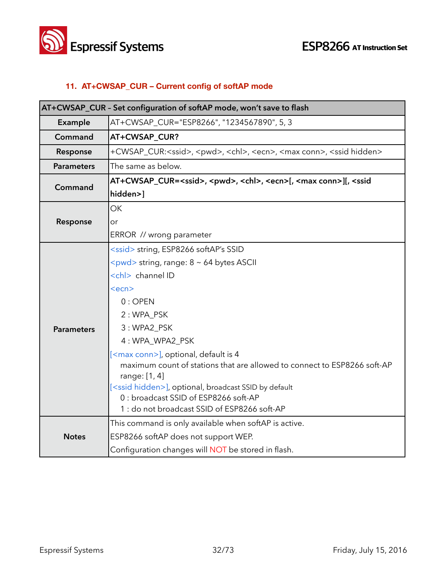

#### **11. AT+CWSAP\_CUR – Current config of softAP mode**

| AT+CWSAP_CUR - Set configuration of softAP mode, won't save to flash |                                                                                                                   |
|----------------------------------------------------------------------|-------------------------------------------------------------------------------------------------------------------|
| Example                                                              | AT+CWSAP_CUR="ESP8266", "1234567890", 5, 3                                                                        |
| Command                                                              | AT+CWSAP_CUR?                                                                                                     |
| Response                                                             | +CWSAP_CUR: <ssid>, <pwd>, <chl>, <ecn>, <max conn="">, <ssid hidden=""></ssid></max></ecn></chl></pwd></ssid>    |
| <b>Parameters</b>                                                    | The same as below.                                                                                                |
| Command                                                              | AT+CWSAP_CUR= <ssid>, <pwd>, <chl>, <ecn>[, <max conn="">][, <ssid< th=""></ssid<></max></ecn></chl></pwd></ssid> |
|                                                                      | hidden>]                                                                                                          |
|                                                                      | <b>OK</b>                                                                                                         |
| Response                                                             | or                                                                                                                |
|                                                                      | ERROR // wrong parameter                                                                                          |
|                                                                      | <ssid> string, ESP8266 softAP's SSID</ssid>                                                                       |
|                                                                      | $\langle \text{pwd} \rangle$ string, range: $8 \sim 64$ bytes ASCII                                               |
|                                                                      | <chl> channel ID</chl>                                                                                            |
|                                                                      | $<$ ecn $>$                                                                                                       |
|                                                                      | $0:$ OPEN                                                                                                         |
|                                                                      | 2: WPA PSK                                                                                                        |
| <b>Parameters</b>                                                    | 3: WPA2_PSK                                                                                                       |
|                                                                      | 4: WPA_WPA2_PSK                                                                                                   |
|                                                                      | [ <max conn="">], optional, default is 4</max>                                                                    |
|                                                                      | maximum count of stations that are allowed to connect to ESP8266 soft-AP                                          |
|                                                                      | range: [1, 4]                                                                                                     |
|                                                                      | [ <ssid hidden="">], optional, broadcast SSID by default<br/>0 : broadcast SSID of ESP8266 soft-AP</ssid>         |
|                                                                      | 1 : do not broadcast SSID of ESP8266 soft-AP                                                                      |
|                                                                      | This command is only available when softAP is active.                                                             |
| <b>Notes</b>                                                         | ESP8266 softAP does not support WEP.                                                                              |
|                                                                      | Configuration changes will NOT be stored in flash.                                                                |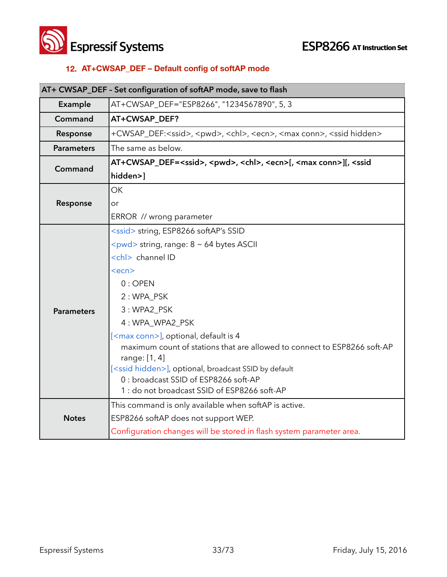

#### **12. AT+CWSAP\_DEF – Default config of softAP mode**

| AT+ CWSAP_DEF - Set configuration of softAP mode, save to flash |                                                                                                                   |
|-----------------------------------------------------------------|-------------------------------------------------------------------------------------------------------------------|
| Example                                                         | AT+CWSAP_DEF="ESP8266", "1234567890", 5, 3                                                                        |
| Command                                                         | AT+CWSAP_DEF?                                                                                                     |
| Response                                                        | +CWSAP_DEF: <ssid>, <pwd>, <chl>, <ecn>, <max conn="">, <ssid hidden=""></ssid></max></ecn></chl></pwd></ssid>    |
| <b>Parameters</b>                                               | The same as below.                                                                                                |
| Command                                                         | AT+CWSAP_DEF= <ssid>, <pwd>, <chl>, <ecn>[, <max conn="">][, <ssid< th=""></ssid<></max></ecn></chl></pwd></ssid> |
|                                                                 | hidden>]                                                                                                          |
|                                                                 | OK                                                                                                                |
| Response                                                        | or                                                                                                                |
|                                                                 | ERROR // wrong parameter                                                                                          |
|                                                                 | <ssid> string, ESP8266 softAP's SSID</ssid>                                                                       |
|                                                                 | <pwd> string, range: 8 ~ 64 bytes ASCII</pwd>                                                                     |
|                                                                 | <chl> channel ID</chl>                                                                                            |
|                                                                 | <ecn></ecn>                                                                                                       |
|                                                                 | $0:$ OPEN                                                                                                         |
|                                                                 | 2: WPA_PSK                                                                                                        |
| <b>Parameters</b>                                               | 3: WPA2_PSK                                                                                                       |
|                                                                 | 4: WPA_WPA2_PSK                                                                                                   |
|                                                                 | [ <max conn="">], optional, default is 4</max>                                                                    |
|                                                                 | maximum count of stations that are allowed to connect to ESP8266 soft-AP                                          |
|                                                                 | range: [1, 4]                                                                                                     |
|                                                                 | [ <ssid hidden="">], optional, broadcast SSID by default<br/>0 : broadcast SSID of ESP8266 soft-AP</ssid>         |
|                                                                 | 1: do not broadcast SSID of ESP8266 soft-AP                                                                       |
| <b>Notes</b>                                                    | This command is only available when softAP is active.                                                             |
|                                                                 | ESP8266 softAP does not support WEP.                                                                              |
|                                                                 | Configuration changes will be stored in flash system parameter area.                                              |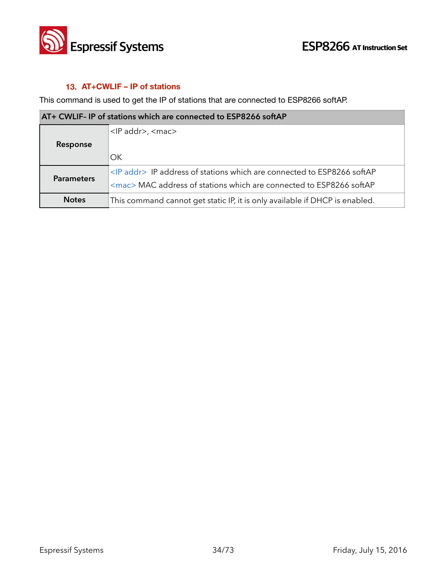

### **13. AT+CWLIF – IP of stations**

This command is used to get the IP of stations that are connected to ESP8266 softAP.

| AT+ CWLIF- IP of stations which are connected to ESP8266 softAP |                                                                                |
|-----------------------------------------------------------------|--------------------------------------------------------------------------------|
|                                                                 | <ip addr="">, <mac></mac></ip>                                                 |
| Response                                                        |                                                                                |
|                                                                 | OK.                                                                            |
| <b>Parameters</b>                                               | <ip addr=""> IP address of stations which are connected to ESP8266 softAP</ip> |
|                                                                 | <mac> MAC address of stations which are connected to ESP8266 softAP</mac>      |
| <b>Notes</b>                                                    | This command cannot get static IP, it is only available if DHCP is enabled.    |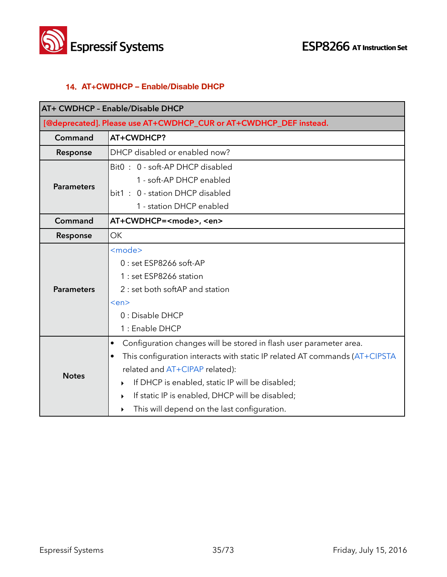

### **14. AT+CWDHCP – Enable/Disable DHCP**

| AT+ CWDHCP - Enable/Disable DHCP                                  |                                                                                         |
|-------------------------------------------------------------------|-----------------------------------------------------------------------------------------|
| [@deprecated]. Please use AT+CWDHCP_CUR or AT+CWDHCP_DEF instead. |                                                                                         |
| Command                                                           | AT+CWDHCP?                                                                              |
| Response                                                          | DHCP disabled or enabled now?                                                           |
|                                                                   | Bit0: 0 - soft-AP DHCP disabled                                                         |
| <b>Parameters</b>                                                 | 1 - soft-AP DHCP enabled                                                                |
|                                                                   | bit1: 0 - station DHCP disabled                                                         |
|                                                                   | 1 - station DHCP enabled                                                                |
| Command                                                           | AT+CWDHCP= <mode>, <en></en></mode>                                                     |
| Response                                                          | <b>OK</b>                                                                               |
|                                                                   | <mode></mode>                                                                           |
|                                                                   | 0 : set ESP8266 soft-AP                                                                 |
|                                                                   | 1 : set ESP8266 station                                                                 |
| <b>Parameters</b>                                                 | 2 : set both softAP and station                                                         |
|                                                                   | <en></en>                                                                               |
|                                                                   | 0 : Disable DHCP                                                                        |
|                                                                   | 1 : Enable DHCP                                                                         |
|                                                                   | Configuration changes will be stored in flash user parameter area.<br>٠                 |
|                                                                   | This configuration interacts with static IP related AT commands (AT+CIPSTA<br>$\bullet$ |
| <b>Notes</b>                                                      | related and AT+CIPAP related):                                                          |
|                                                                   | If DHCP is enabled, static IP will be disabled;<br>▶                                    |
|                                                                   | If static IP is enabled, DHCP will be disabled;<br>▶                                    |
|                                                                   | This will depend on the last configuration.<br>▶                                        |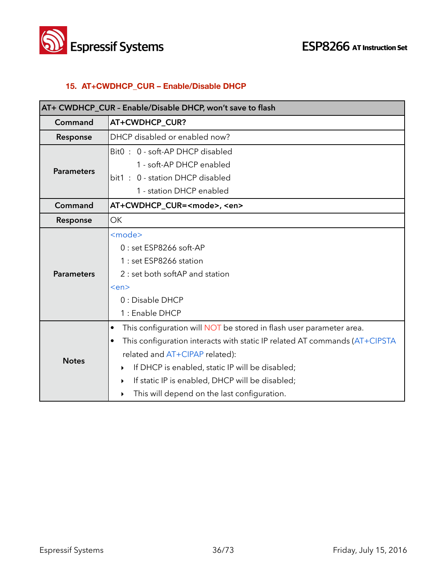

# **15. AT+CWDHCP\_CUR – Enable/Disable DHCP**

| AT+ CWDHCP_CUR - Enable/Disable DHCP, won't save to flash |                                                                                         |
|-----------------------------------------------------------|-----------------------------------------------------------------------------------------|
| Command                                                   | AT+CWDHCP_CUR?                                                                          |
| Response                                                  | DHCP disabled or enabled now?                                                           |
|                                                           | Bit0: 0 - soft-AP DHCP disabled                                                         |
| <b>Parameters</b>                                         | 1 - soft-AP DHCP enabled                                                                |
|                                                           | bit1: 0 - station DHCP disabled                                                         |
|                                                           | 1 - station DHCP enabled                                                                |
| Command                                                   | AT+CWDHCP_CUR= <mode>, <en></en></mode>                                                 |
| Response                                                  | <b>OK</b>                                                                               |
|                                                           | <mode></mode>                                                                           |
|                                                           | $0:$ set ESP8266 soft-AP                                                                |
|                                                           | 1 : set ESP8266 station                                                                 |
| <b>Parameters</b>                                         | 2 : set both softAP and station                                                         |
|                                                           | <en></en>                                                                               |
|                                                           | 0 : Disable DHCP                                                                        |
|                                                           | 1 : Enable DHCP                                                                         |
|                                                           | This configuration will NOT be stored in flash user parameter area.<br>٠                |
|                                                           | This configuration interacts with static IP related AT commands (AT+CIPSTA<br>$\bullet$ |
| <b>Notes</b>                                              | related and AT+CIPAP related):                                                          |
|                                                           | If DHCP is enabled, static IP will be disabled;<br>▶                                    |
|                                                           | If static IP is enabled, DHCP will be disabled;<br>▶                                    |
|                                                           | This will depend on the last configuration.<br>▶                                        |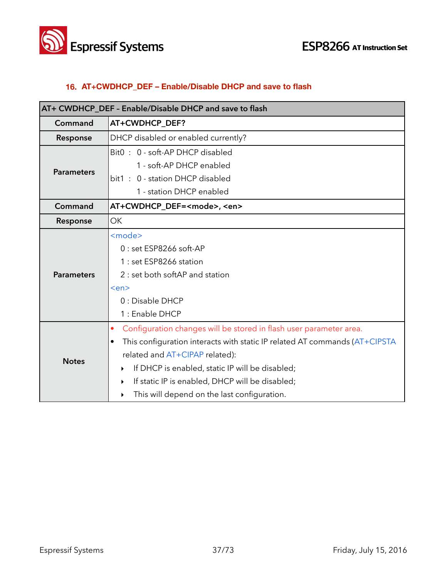



# **16. AT+CWDHCP\_DEF – Enable/Disable DHCP and save to flash**

| AT+ CWDHCP_DEF - Enable/Disable DHCP and save to flash |                                                                                                                                                                                                                                                                                                                                                                                              |
|--------------------------------------------------------|----------------------------------------------------------------------------------------------------------------------------------------------------------------------------------------------------------------------------------------------------------------------------------------------------------------------------------------------------------------------------------------------|
| Command                                                | AT+CWDHCP_DEF?                                                                                                                                                                                                                                                                                                                                                                               |
| Response                                               | DHCP disabled or enabled currently?                                                                                                                                                                                                                                                                                                                                                          |
|                                                        | Bit0: 0 - soft-AP DHCP disabled                                                                                                                                                                                                                                                                                                                                                              |
| <b>Parameters</b>                                      | 1 - soft-AP DHCP enabled                                                                                                                                                                                                                                                                                                                                                                     |
|                                                        | bit1: 0 - station DHCP disabled                                                                                                                                                                                                                                                                                                                                                              |
|                                                        | 1 - station DHCP enabled                                                                                                                                                                                                                                                                                                                                                                     |
| Command                                                | AT+CWDHCP_DEF= <mode>, <en></en></mode>                                                                                                                                                                                                                                                                                                                                                      |
| Response                                               | <b>OK</b>                                                                                                                                                                                                                                                                                                                                                                                    |
| <b>Parameters</b>                                      | <mode><br/><math>0:</math> set ESP8266 soft-AP<br/>1 : set ESP8266 station<br/>2 : set both softAP and station</mode>                                                                                                                                                                                                                                                                        |
|                                                        | <en><br/>0 : Disable DHCP<br/>1 : Enable DHCP</en>                                                                                                                                                                                                                                                                                                                                           |
| <b>Notes</b>                                           | Configuration changes will be stored in flash user parameter area.<br>۰<br>This configuration interacts with static IP related AT commands (AT+CIPSTA<br>$\bullet$<br>related and AT+CIPAP related):<br>If DHCP is enabled, static IP will be disabled;<br>▶<br>If static IP is enabled, DHCP will be disabled;<br>$\blacktriangleright$<br>This will depend on the last configuration.<br>▶ |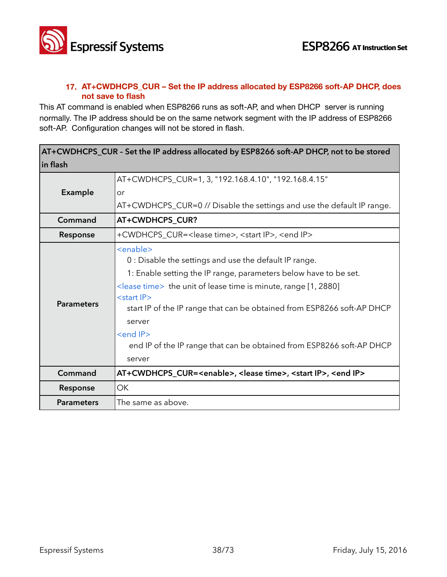

### **17. AT+CWDHCPS\_CUR – Set the IP address allocated by ESP8266 soft-AP DHCP, does not save to flash**

This AT command is enabled when ESP8266 runs as soft-AP, and when DHCP server is running normally. The IP address should be on the same network segment with the IP address of ESP8266 soft-AP. Configuration changes will not be stored in flash.

| AT+CWDHCPS_CUR - Set the IP address allocated by ESP8266 soft-AP DHCP, not to be stored |                                                                                                                                                                                                                                                                                                                                                                                                                                                                    |
|-----------------------------------------------------------------------------------------|--------------------------------------------------------------------------------------------------------------------------------------------------------------------------------------------------------------------------------------------------------------------------------------------------------------------------------------------------------------------------------------------------------------------------------------------------------------------|
| in flash                                                                                |                                                                                                                                                                                                                                                                                                                                                                                                                                                                    |
|                                                                                         | AT+CWDHCPS_CUR=1, 3, "192.168.4.10", "192.168.4.15"                                                                                                                                                                                                                                                                                                                                                                                                                |
| Example                                                                                 | or                                                                                                                                                                                                                                                                                                                                                                                                                                                                 |
|                                                                                         | AT+CWDHCPS_CUR=0 // Disable the settings and use the default IP range.                                                                                                                                                                                                                                                                                                                                                                                             |
| Command                                                                                 | AT+CWDHCPS_CUR?                                                                                                                                                                                                                                                                                                                                                                                                                                                    |
| Response                                                                                | +CWDHCPS_CUR= <lease time="">, <start ip="">, <end ip=""></end></start></lease>                                                                                                                                                                                                                                                                                                                                                                                    |
| <b>Parameters</b>                                                                       | <enable><br/>0 : Disable the settings and use the default IP range.<br/>1: Enable setting the IP range, parameters below have to be set.<br/><math>\le</math>lease time&gt; the unit of lease time is minute, range [1, 2880]<br/><start ip=""><br/>start IP of the IP range that can be obtained from ESP8266 soft-AP DHCP<br/>server<br/><end ip=""><br/>end IP of the IP range that can be obtained from ESP8266 soft-AP DHCP<br/>server</end></start></enable> |
| Command                                                                                 | AT+CWDHCPS_CUR= <enable>, <lease time="">, <start ip="">, <end ip=""></end></start></lease></enable>                                                                                                                                                                                                                                                                                                                                                               |
| Response                                                                                | <b>OK</b>                                                                                                                                                                                                                                                                                                                                                                                                                                                          |
| <b>Parameters</b>                                                                       | The same as above.                                                                                                                                                                                                                                                                                                                                                                                                                                                 |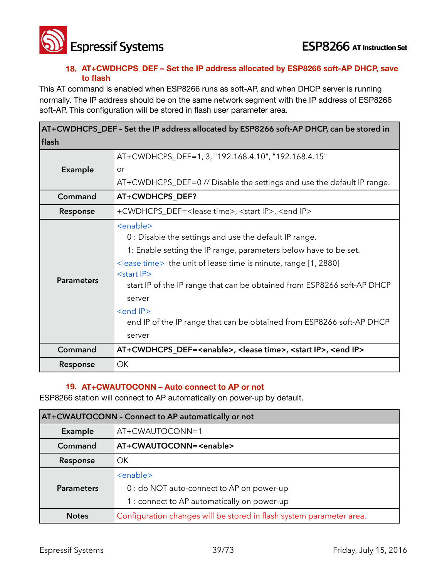

### **18. AT+CWDHCPS\_DEF – Set the IP address allocated by ESP8266 soft-AP DHCP, save to flash**

This AT command is enabled when ESP8266 runs as soft-AP, and when DHCP server is running normally. The IP address should be on the same network segment with the IP address of ESP8266 soft-AP. This configuration will be stored in flash user parameter area.

|                   | AT+CWDHCPS_DEF - Set the IP address allocated by ESP8266 soft-AP DHCP, can be stored in                                                                                                                                                                                                                                                                                                                                                                            |
|-------------------|--------------------------------------------------------------------------------------------------------------------------------------------------------------------------------------------------------------------------------------------------------------------------------------------------------------------------------------------------------------------------------------------------------------------------------------------------------------------|
| flash             |                                                                                                                                                                                                                                                                                                                                                                                                                                                                    |
|                   | AT+CWDHCPS_DEF=1, 3, "192.168.4.10", "192.168.4.15"                                                                                                                                                                                                                                                                                                                                                                                                                |
| Example           | or                                                                                                                                                                                                                                                                                                                                                                                                                                                                 |
|                   | AT+CWDHCPS_DEF=0 // Disable the settings and use the default IP range.                                                                                                                                                                                                                                                                                                                                                                                             |
| Command           | AT+CWDHCPS_DEF?                                                                                                                                                                                                                                                                                                                                                                                                                                                    |
| Response          | +CWDHCPS_DEF= <lease time="">, <start ip="">, <end ip=""></end></start></lease>                                                                                                                                                                                                                                                                                                                                                                                    |
| <b>Parameters</b> | <enable><br/>0 : Disable the settings and use the default IP range.<br/>1: Enable setting the IP range, parameters below have to be set.<br/><math>\le</math>lease time&gt; the unit of lease time is minute, range [1, 2880]<br/><start ip=""><br/>start IP of the IP range that can be obtained from ESP8266 soft-AP DHCP<br/>server<br/><end ip=""><br/>end IP of the IP range that can be obtained from ESP8266 soft-AP DHCP<br/>server</end></start></enable> |
| Command           | AT+CWDHCPS_DEF= <enable>, <lease time="">, <start ip="">, <end ip=""></end></start></lease></enable>                                                                                                                                                                                                                                                                                                                                                               |
| Response          | OK                                                                                                                                                                                                                                                                                                                                                                                                                                                                 |

# **19. AT+CWAUTOCONN – Auto connect to AP or not**

ESP8266 station will connect to AP automatically on power-up by default.

| AT+CWAUTOCONN - Connect to AP automatically or not |                                                                      |
|----------------------------------------------------|----------------------------------------------------------------------|
| Example                                            | AT+CWAUTOCONN=1                                                      |
| Command                                            | AT+CWAUTOCONN= <enable></enable>                                     |
| Response                                           | OK                                                                   |
|                                                    | <enable></enable>                                                    |
| <b>Parameters</b>                                  | 0 : do NOT auto-connect to AP on power-up                            |
|                                                    | 1 : connect to AP automatically on power-up                          |
| <b>Notes</b>                                       | Configuration changes will be stored in flash system parameter area. |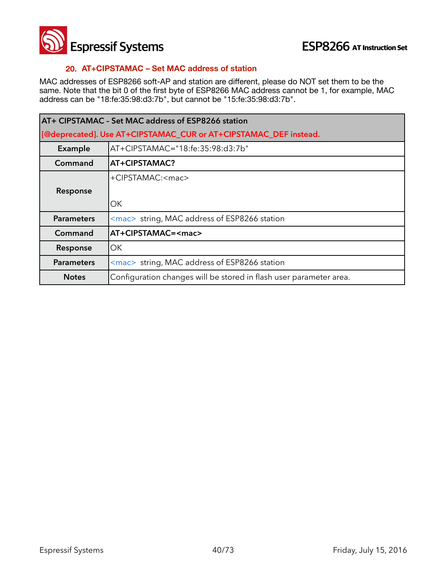

### **20. AT+CIPSTAMAC – Set MAC address of station**

MAC addresses of ESP8266 soft-AP and station are different, please do NOT set them to be the same. Note that the bit 0 of the first byte of ESP8266 MAC address cannot be 1, for example, MAC address can be "18:fe:35:98:d3:7b", but cannot be "15:fe:35:98:d3:7b".

| AT+ CIPSTAMAC - Set MAC address of ESP8266 station               |                                                                    |
|------------------------------------------------------------------|--------------------------------------------------------------------|
| [@deprecated]. Use AT+CIPSTAMAC_CUR or AT+CIPSTAMAC_DEF instead. |                                                                    |
| Example                                                          | AT+CIPSTAMAC="18:fe:35:98:d3:7b"                                   |
| Command                                                          | AT+CIPSTAMAC?                                                      |
|                                                                  | +CIPSTAMAC: <mac></mac>                                            |
| Response                                                         |                                                                    |
|                                                                  | ОK                                                                 |
| <b>Parameters</b>                                                | <mac> string, MAC address of ESP8266 station</mac>                 |
| Command                                                          | AT+CIPSTAMAC= <mac></mac>                                          |
| Response                                                         | OK.                                                                |
| <b>Parameters</b>                                                | <mac> string, MAC address of ESP8266 station</mac>                 |
| <b>Notes</b>                                                     | Configuration changes will be stored in flash user parameter area. |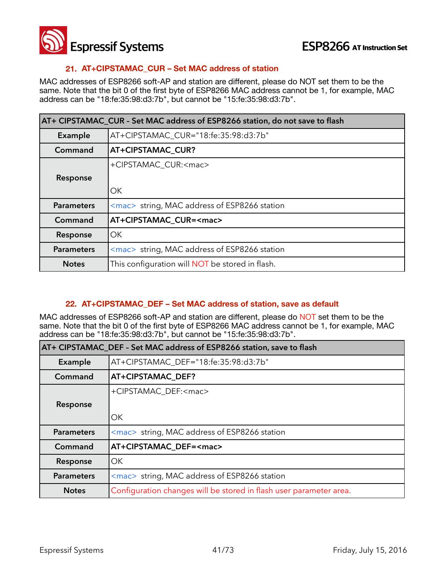

### **21. AT+CIPSTAMAC\_CUR – Set MAC address of station**

MAC addresses of ESP8266 soft-AP and station are different, please do NOT set them to be the same. Note that the bit 0 of the first byte of ESP8266 MAC address cannot be 1, for example, MAC address can be "18:fe:35:98:d3:7b", but cannot be "15:fe:35:98:d3:7b".

| AT+ CIPSTAMAC CUR - Set MAC address of ESP8266 station, do not save to flash |                                                                |
|------------------------------------------------------------------------------|----------------------------------------------------------------|
| Example                                                                      | AT+CIPSTAMAC_CUR="18:fe:35:98:d3:7b"                           |
| Command                                                                      | AT+CIPSTAMAC_CUR?                                              |
|                                                                              | +CIPSTAMAC_CUR: <mac></mac>                                    |
| Response                                                                     |                                                                |
|                                                                              | <b>OK</b>                                                      |
| <b>Parameters</b>                                                            | $\langle$ mac $\rangle$ string, MAC address of ESP8266 station |
| Command                                                                      | AT+CIPSTAMAC_CUR= <mac></mac>                                  |
| Response                                                                     | OK                                                             |
| <b>Parameters</b>                                                            | <mac> string, MAC address of ESP8266 station</mac>             |
| <b>Notes</b>                                                                 | This configuration will <b>NOT</b> be stored in flash.         |

### **22. AT+CIPSTAMAC\_DEF – Set MAC address of station, save as default**

MAC addresses of ESP8266 soft-AP and station are different, please do NOT set them to be the same. Note that the bit 0 of the first byte of ESP8266 MAC address cannot be 1, for example, MAC address can be "18:fe:35:98:d3:7b", but cannot be "15:fe:35:98:d3:7b".

| AT+ CIPSTAMAC DEF - Set MAC address of ESP8266 station, save to flash |                                                                    |
|-----------------------------------------------------------------------|--------------------------------------------------------------------|
| <b>Example</b>                                                        | AT+CIPSTAMAC_DEF="18:fe:35:98:d3:7b"                               |
| Command                                                               | AT+CIPSTAMAC DEF?                                                  |
|                                                                       | +CIPSTAMAC_DEF: <mac></mac>                                        |
| Response                                                              |                                                                    |
|                                                                       | OK.                                                                |
| <b>Parameters</b>                                                     | <mac> string, MAC address of ESP8266 station</mac>                 |
| Command                                                               | AT+CIPSTAMAC DEF= <mac></mac>                                      |
| Response                                                              | OK                                                                 |
| <b>Parameters</b>                                                     | <mac> string, MAC address of ESP8266 station</mac>                 |
| <b>Notes</b>                                                          | Configuration changes will be stored in flash user parameter area. |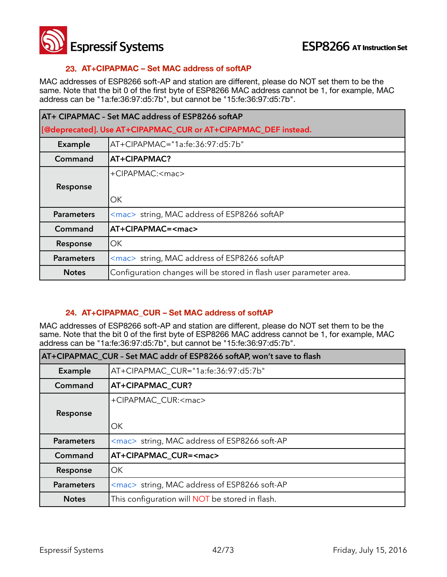

### **23. AT+CIPAPMAC – Set MAC address of softAP**

MAC addresses of ESP8266 soft-AP and station are different, please do NOT set them to be the same. Note that the bit 0 of the first byte of ESP8266 MAC address cannot be 1, for example, MAC address can be "1a:fe:36:97:d5:7b", but cannot be "15:fe:36:97:d5:7b".

| AT+ CIPAPMAC - Set MAC address of ESP8266 softAP               |                                                                    |
|----------------------------------------------------------------|--------------------------------------------------------------------|
| [@deprecated]. Use AT+CIPAPMAC_CUR or AT+CIPAPMAC_DEF instead. |                                                                    |
| Example                                                        | $AT+CIPAPMAC="1a:fe:36:97:d5:7b"$                                  |
| Command                                                        | AT+CIPAPMAC?                                                       |
|                                                                | $+C$ IPAPMAC: $<$ mac>                                             |
| Response                                                       |                                                                    |
|                                                                | ОΚ                                                                 |
| <b>Parameters</b>                                              | <mac> string, MAC address of ESP8266 softAP</mac>                  |
| Command                                                        | AT+CIPAPMAC= <mac></mac>                                           |
| Response                                                       | ОK                                                                 |
| <b>Parameters</b>                                              | <mac> string, MAC address of ESP8266 softAP</mac>                  |
| <b>Notes</b>                                                   | Configuration changes will be stored in flash user parameter area. |

### **24. AT+CIPAPMAC\_CUR – Set MAC address of softAP**

MAC addresses of ESP8266 soft-AP and station are different, please do NOT set them to be the same. Note that the bit 0 of the first byte of ESP8266 MAC address cannot be 1, for example, MAC address can be "1a:fe:36:97:d5:7b", but cannot be "15:fe:36:97:d5:7b".

| AT+CIPAPMAC CUR - Set MAC addr of ESP8266 softAP, won't save to flash |                                                        |
|-----------------------------------------------------------------------|--------------------------------------------------------|
| Example                                                               | AT+CIPAPMAC CUR="1a:fe:36:97:d5:7b"                    |
| Command                                                               | AT+CIPAPMAC CUR?                                       |
|                                                                       | +CIPAPMAC CUR: <mac></mac>                             |
| Response                                                              |                                                        |
|                                                                       | OK                                                     |
| <b>Parameters</b>                                                     | <mac> string, MAC address of ESP8266 soft-AP</mac>     |
| Command                                                               | AT+CIPAPMAC_CUR= <mac></mac>                           |
| Response                                                              | OK.                                                    |
| <b>Parameters</b>                                                     | <mac> string, MAC address of ESP8266 soft-AP</mac>     |
| <b>Notes</b>                                                          | This configuration will <b>NOT</b> be stored in flash. |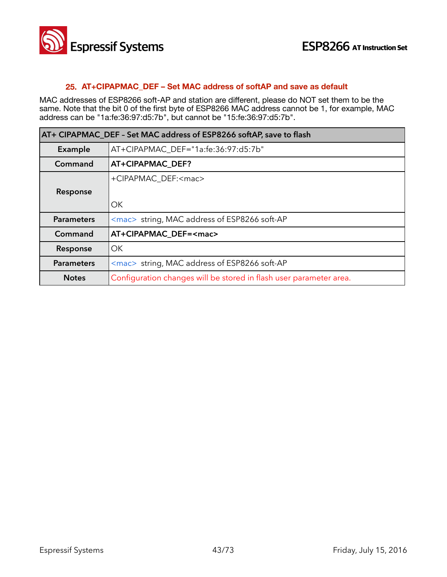

#### **25. AT+CIPAPMAC\_DEF – Set MAC address of softAP and save as default**

MAC addresses of ESP8266 soft-AP and station are different, please do NOT set them to be the same. Note that the bit 0 of the first byte of ESP8266 MAC address cannot be 1, for example, MAC address can be "1a:fe:36:97:d5:7b", but cannot be "15:fe:36:97:d5:7b".

| AT+ CIPAPMAC_DEF - Set MAC address of ESP8266 softAP, save to flash |                                                                    |
|---------------------------------------------------------------------|--------------------------------------------------------------------|
| Example                                                             | AT+CIPAPMAC DEF="1a:fe:36:97:d5:7b"                                |
| Command                                                             | AT+CIPAPMAC DEF?                                                   |
|                                                                     | +CIPAPMAC_DEF: <mac></mac>                                         |
| Response                                                            |                                                                    |
|                                                                     | OK.                                                                |
| <b>Parameters</b>                                                   | <mac> string, MAC address of ESP8266 soft-AP</mac>                 |
| Command                                                             | AT+CIPAPMAC_DEF= <mac></mac>                                       |
| Response                                                            | <b>OK</b>                                                          |
| <b>Parameters</b>                                                   | <mac> string, MAC address of ESP8266 soft-AP</mac>                 |
| <b>Notes</b>                                                        | Configuration changes will be stored in flash user parameter area. |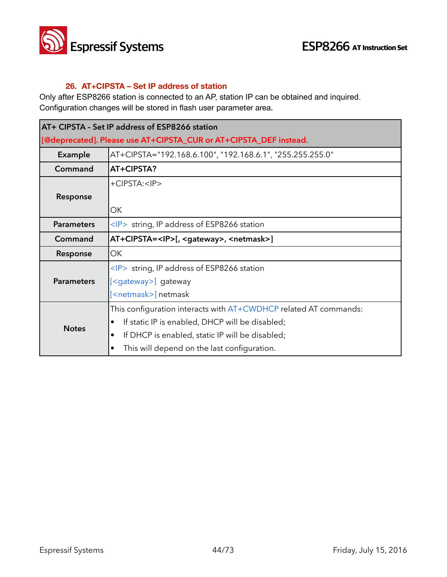

### **26. AT+CIPSTA – Set IP address of station**

Only after ESP8266 station is connected to an AP, station IP can be obtained and inquired. Configuration changes will be stored in flash user parameter area.

| AT+ CIPSTA - Set IP address of ESP8266 station                    |                                                                  |
|-------------------------------------------------------------------|------------------------------------------------------------------|
| [@deprecated]. Please use AT+CIPSTA_CUR or AT+CIPSTA_DEF instead. |                                                                  |
| <b>Example</b>                                                    | AT+CIPSTA="192.168.6.100", "192.168.6.1", "255.255.255.0"        |
| Command                                                           | AT+CIPSTA?                                                       |
|                                                                   | +CIPSTA: <ip></ip>                                               |
| Response                                                          |                                                                  |
|                                                                   | OK                                                               |
| <b>Parameters</b>                                                 | $\langle P \rangle$ string, IP address of ESP8266 station        |
| Command                                                           | AT+CIPSTA= <ip>[, <gateway>, <netmask>]</netmask></gateway></ip> |
| Response                                                          | OK                                                               |
|                                                                   | <ip> string, IP address of ESP8266 station</ip>                  |
| <b>Parameters</b>                                                 | [ <gateway>] gateway</gateway>                                   |
|                                                                   | [ <netmask>] netmask</netmask>                                   |
|                                                                   | This configuration interacts with AT+CWDHCP related AT commands: |
| <b>Notes</b>                                                      | If static IP is enabled, DHCP will be disabled;<br>٠             |
|                                                                   | If DHCP is enabled, static IP will be disabled;<br>٠             |
|                                                                   | This will depend on the last configuration.                      |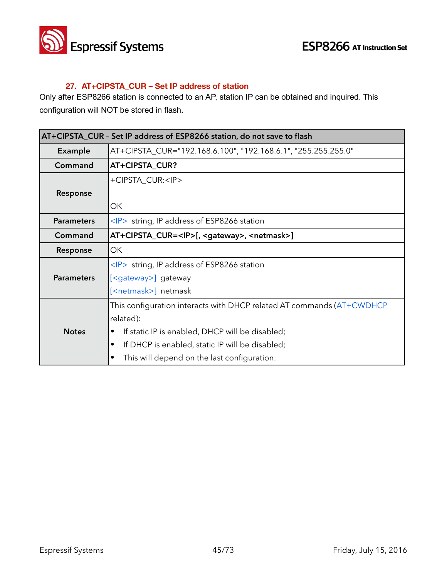

# **27. AT+CIPSTA\_CUR – Set IP address of station**

Only after ESP8266 station is connected to an AP, station IP can be obtained and inquired. This configuration will NOT be stored in flash.

| AT+CIPSTA_CUR - Set IP address of ESP8266 station, do not save to flash |                                                                       |
|-------------------------------------------------------------------------|-----------------------------------------------------------------------|
| <b>Example</b>                                                          | AT+CIPSTA_CUR="192.168.6.100", "192.168.6.1", "255.255.255.0"         |
| Command                                                                 | AT+CIPSTA_CUR?                                                        |
|                                                                         | +CIPSTA CUR: <ip></ip>                                                |
| Response                                                                |                                                                       |
|                                                                         | ОΚ                                                                    |
| <b>Parameters</b>                                                       | $\langle P \rangle$ string, IP address of ESP8266 station             |
| Command                                                                 | AT+CIPSTA_CUR= <ip>[, <gateway>, <netmask>]</netmask></gateway></ip>  |
| Response                                                                | OK                                                                    |
|                                                                         | <ip> string, IP address of ESP8266 station</ip>                       |
| <b>Parameters</b>                                                       | [ <gateway>] gateway</gateway>                                        |
|                                                                         | [ <netmask>] netmask</netmask>                                        |
|                                                                         | This configuration interacts with DHCP related AT commands (AT+CWDHCP |
|                                                                         | related):                                                             |
| <b>Notes</b>                                                            | If static IP is enabled, DHCP will be disabled;                       |
|                                                                         | If DHCP is enabled, static IP will be disabled;                       |
|                                                                         | This will depend on the last configuration.<br>٠                      |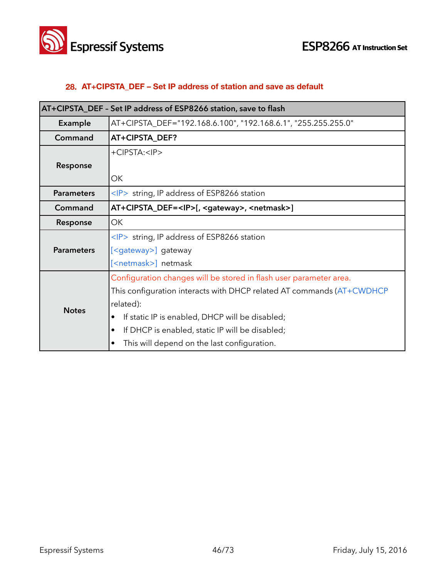

# **28. AT+CIPSTA\_DEF – Set IP address of station and save as default**

| AT+CIPSTA_DEF - Set IP address of ESP8266 station, save to flash |                                                                       |
|------------------------------------------------------------------|-----------------------------------------------------------------------|
| Example                                                          | AT+CIPSTA_DEF="192.168.6.100", "192.168.6.1", "255.255.255.0"         |
| Command                                                          | AT+CIPSTA_DEF?                                                        |
|                                                                  | +CIPSTA: <ip></ip>                                                    |
| Response                                                         |                                                                       |
|                                                                  | ОK                                                                    |
| <b>Parameters</b>                                                | $\langle P \rangle$ string, IP address of ESP8266 station             |
| Command                                                          | AT+CIPSTA_DEF= <ip>[, <gateway>, <netmask>]</netmask></gateway></ip>  |
| Response                                                         | OK                                                                    |
|                                                                  | $\langle P \rangle$ string, IP address of ESP8266 station             |
| <b>Parameters</b>                                                | [ <gateway>] gateway</gateway>                                        |
|                                                                  | [ <netmask>] netmask</netmask>                                        |
| <b>Notes</b>                                                     | Configuration changes will be stored in flash user parameter area.    |
|                                                                  | This configuration interacts with DHCP related AT commands (AT+CWDHCP |
|                                                                  | related):                                                             |
|                                                                  | If static IP is enabled, DHCP will be disabled;                       |
|                                                                  | If DHCP is enabled, static IP will be disabled;                       |
|                                                                  | This will depend on the last configuration.                           |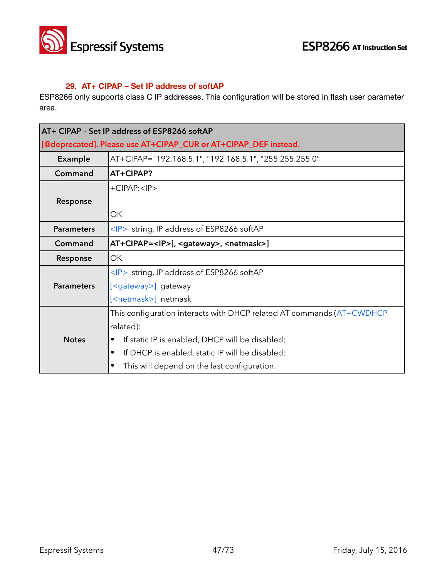

### **29. AT+ CIPAP – Set IP address of softAP**

ESP8266 only supports class C IP addresses. This configuration will be stored in flash user parameter area.

|                   | AT+ CIPAP - Set IP address of ESP8266 softAP                          |
|-------------------|-----------------------------------------------------------------------|
|                   | [@deprecated]. Please use AT+CIPAP_CUR or AT+CIPAP_DEF instead.       |
| <b>Example</b>    | AT+CIPAP="192.168.5.1", "192.168.5.1", "255.255.255.0"                |
| Command           | AT+CIPAP?                                                             |
|                   | $+CIPAP: $                                                            |
| Response          |                                                                       |
|                   | OK                                                                    |
| <b>Parameters</b> | $\langle P \rangle$ string, IP address of ESP8266 softAP              |
| Command           | AT+CIPAP= <ip>[, <gateway>, <netmask>]</netmask></gateway></ip>       |
| Response          | OK                                                                    |
|                   | $\langle P \rangle$ string, IP address of ESP8266 softAP              |
| <b>Parameters</b> | [ <gateway>] gateway</gateway>                                        |
|                   | [ <netmask>] netmask</netmask>                                        |
|                   | This configuration interacts with DHCP related AT commands (AT+CWDHCP |
|                   | related):                                                             |
| <b>Notes</b>      | If static IP is enabled, DHCP will be disabled;                       |
|                   | If DHCP is enabled, static IP will be disabled;                       |
|                   | This will depend on the last configuration.                           |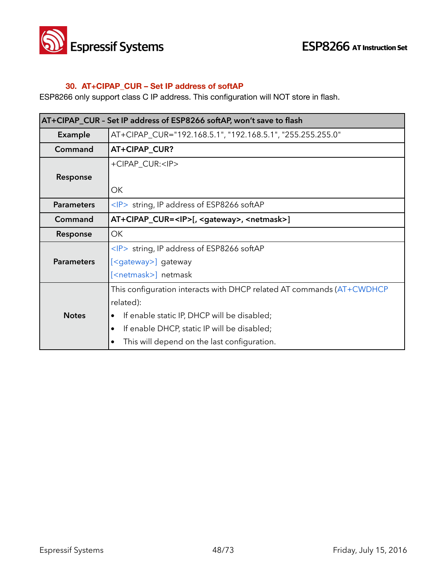

# **30. AT+CIPAP\_CUR – Set IP address of softAP**

ESP8266 only support class C IP address. This configuration will NOT store in flash.

| AT+CIPAP_CUR - Set IP address of ESP8266 softAP, won't save to flash |                                                                       |
|----------------------------------------------------------------------|-----------------------------------------------------------------------|
| <b>Example</b>                                                       | AT+CIPAP_CUR="192.168.5.1", "192.168.5.1", "255.255.255.0"            |
| Command                                                              | AT+CIPAP_CUR?                                                         |
|                                                                      | +CIPAP_CUR: <ip></ip>                                                 |
| Response                                                             |                                                                       |
|                                                                      | ОК                                                                    |
| <b>Parameters</b>                                                    | $\langle P \rangle$ string, IP address of ESP8266 softAP              |
| Command                                                              | AT+CIPAP_CUR= <ip>[, <gateway>, <netmask>]</netmask></gateway></ip>   |
| Response                                                             | OK                                                                    |
|                                                                      | $\langle P \rangle$ string, IP address of ESP8266 softAP              |
| <b>Parameters</b>                                                    | [ <gateway>] gateway</gateway>                                        |
|                                                                      | [ <netmask>] netmask</netmask>                                        |
|                                                                      | This configuration interacts with DHCP related AT commands (AT+CWDHCP |
|                                                                      | related):                                                             |
| <b>Notes</b>                                                         | If enable static IP, DHCP will be disabled;                           |
|                                                                      | If enable DHCP, static IP will be disabled;                           |
|                                                                      | This will depend on the last configuration.                           |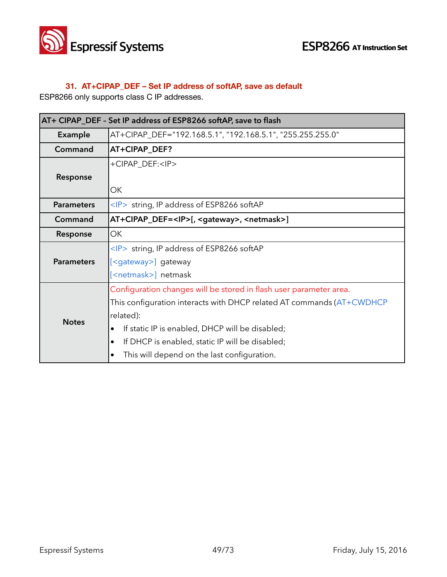

# **31. AT+CIPAP\_DEF – Set IP address of softAP, save as default**

ESP8266 only supports class C IP addresses.

| AT+ CIPAP_DEF - Set IP address of ESP8266 softAP, save to flash |                                                                       |
|-----------------------------------------------------------------|-----------------------------------------------------------------------|
| <b>Example</b>                                                  | AT+CIPAP_DEF="192.168.5.1", "192.168.5.1", "255.255.255.0"            |
| Command                                                         | AT+CIPAP_DEF?                                                         |
|                                                                 | +CIPAP_DEF: <ip></ip>                                                 |
| Response                                                        |                                                                       |
|                                                                 | OK                                                                    |
| <b>Parameters</b>                                               | $\langle P \rangle$ string, IP address of ESP8266 softAP              |
| Command                                                         | AT+CIPAP_DEF= <ip>[, <gateway>, <netmask>]</netmask></gateway></ip>   |
| Response                                                        | <b>OK</b>                                                             |
|                                                                 | $\langle P \rangle$ string, IP address of ESP8266 softAP              |
| <b>Parameters</b>                                               | [ <gateway>] gateway</gateway>                                        |
|                                                                 | [ <netmask>] netmask</netmask>                                        |
| <b>Notes</b>                                                    | Configuration changes will be stored in flash user parameter area.    |
|                                                                 | This configuration interacts with DHCP related AT commands (AT+CWDHCP |
|                                                                 | related):                                                             |
|                                                                 | If static IP is enabled, DHCP will be disabled;                       |
|                                                                 | If DHCP is enabled, static IP will be disabled;                       |
|                                                                 | This will depend on the last configuration.                           |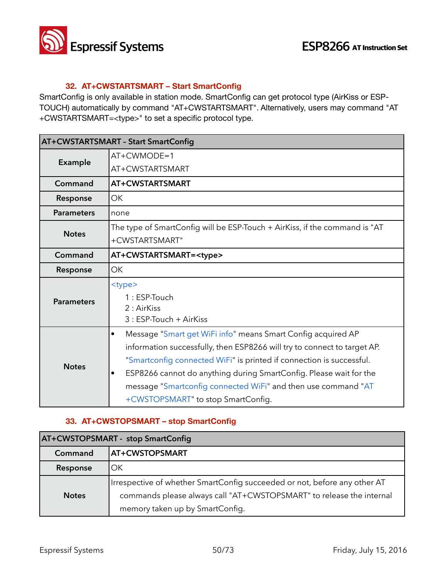

# **32. AT+CWSTARTSMART – Start SmartConfig**

SmartConfig is only available in station mode. SmartConfig can get protocol type (AirKiss or ESP-TOUCH) automatically by command "AT+CWSTARTSMART". Alternatively, users may command "AT +CWSTARTSMART=<type>" to set a specific protocol type.

| AT+CWSTARTSMART - Start SmartConfig |                                                                            |
|-------------------------------------|----------------------------------------------------------------------------|
| Example                             | $AT+CWMODE=1$                                                              |
|                                     | AT+CWSTARTSMART                                                            |
| Command                             | AT+CWSTARTSMART                                                            |
| Response                            | OK                                                                         |
| <b>Parameters</b>                   | none                                                                       |
| <b>Notes</b>                        | The type of SmartConfig will be ESP-Touch + AirKiss, if the command is "AT |
|                                     | +CWSTARTSMART"                                                             |
| Command                             | AT+CWSTARTSMART= <type></type>                                             |
| Response                            | OK                                                                         |
|                                     | <type></type>                                                              |
| <b>Parameters</b>                   | 1: ESP-Touch                                                               |
|                                     | 2 : AirKiss                                                                |
|                                     | 3 : ESP-Touch + AirKiss                                                    |
|                                     | Message "Smart get WiFi info" means Smart Config acquired AP<br>$\bullet$  |
|                                     | information successfully, then ESP8266 will try to connect to target AP.   |
| <b>Notes</b>                        | "Smartconfig connected WiFi" is printed if connection is successful.       |
|                                     | ESP8266 cannot do anything during SmartConfig. Please wait for the<br>٠    |
|                                     | message "Smartconfig connected WiFi" and then use command "AT              |
|                                     | +CWSTOPSMART" to stop SmartConfig.                                         |

# **33. AT+CWSTOPSMART – stop SmartConfig**

| AT+CWSTOPSMART - stop SmartConfig |                                                                           |
|-----------------------------------|---------------------------------------------------------------------------|
| Command                           | <b>AT+CWSTOPSMART</b>                                                     |
| Response                          | OK.                                                                       |
| <b>Notes</b>                      | Irrespective of whether SmartConfig succeeded or not, before any other AT |
|                                   | commands please always call "AT+CWSTOPSMART" to release the internal      |
|                                   | memory taken up by SmartConfig.                                           |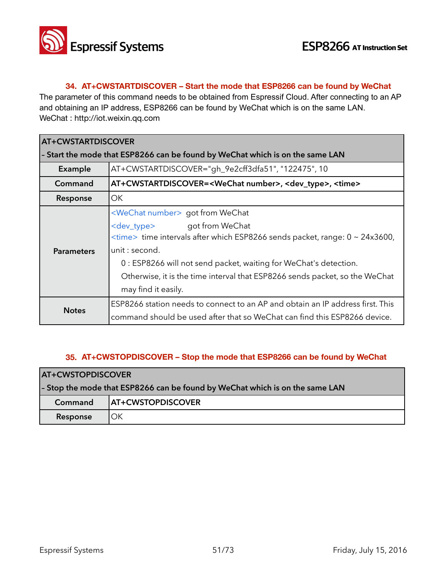

### **34. AT+CWSTARTDISCOVER – Start the mode that ESP8266 can be found by WeChat**

The parameter of this command needs to be obtained from Espressif Cloud. After connecting to an AP and obtaining an IP address, ESP8266 can be found by WeChat which is on the same LAN. WeChat : http://iot.weixin.qq.com

| <b>AT+CWSTARTDISCOVER</b>                                                     |                                                                                                                                                                                                                                                                                                                                                                                  |
|-------------------------------------------------------------------------------|----------------------------------------------------------------------------------------------------------------------------------------------------------------------------------------------------------------------------------------------------------------------------------------------------------------------------------------------------------------------------------|
| - Start the mode that ESP8266 can be found by WeChat which is on the same LAN |                                                                                                                                                                                                                                                                                                                                                                                  |
| Example                                                                       | AT+CWSTARTDISCOVER="gh_9e2cff3dfa51", "122475", 10                                                                                                                                                                                                                                                                                                                               |
| Command                                                                       | AT+CWSTARTDISCOVER= <wechat number="">, <dev_type>, <time></time></dev_type></wechat>                                                                                                                                                                                                                                                                                            |
| Response                                                                      | OK.                                                                                                                                                                                                                                                                                                                                                                              |
| <b>Parameters</b>                                                             | <wechat number=""> got from WeChat<br/>got from WeChat<br/><dev_type><br/><time> time intervals after which ESP8266 sends packet, range: 0 ~ 24x3600,<br/>unit: second.<br/>0 : ESP8266 will not send packet, waiting for WeChat's detection.<br/>Otherwise, it is the time interval that ESP8266 sends packet, so the WeChat<br/>may find it easily.</time></dev_type></wechat> |
| <b>Notes</b>                                                                  | ESP8266 station needs to connect to an AP and obtain an IP address first. This<br>command should be used after that so WeChat can find this ESP8266 device.                                                                                                                                                                                                                      |

### **35. AT+CWSTOPDISCOVER – Stop the mode that ESP8266 can be found by WeChat**

| <b>AT+CWSTOPDISCOVER</b>                                                     |                          |
|------------------------------------------------------------------------------|--------------------------|
| - Stop the mode that ESP8266 can be found by WeChat which is on the same LAN |                          |
| Command                                                                      | <b>AT+CWSTOPDISCOVER</b> |
| Response                                                                     | ΟK                       |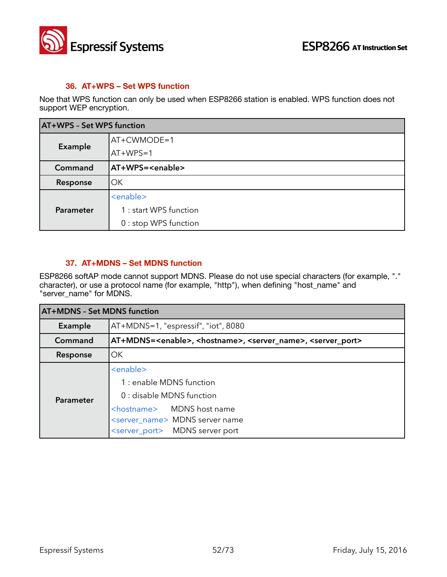

### **36. AT+WPS – Set WPS function**

Noe that WPS function can only be used when ESP8266 station is enabled. WPS function does not support WEP encryption.

| AT+WPS - Set WPS function |                           |
|---------------------------|---------------------------|
| Example                   | AT+CWMODE=1               |
|                           | $AT+WPS=1$                |
| Command                   | AT+WPS= <enable></enable> |
| Response                  | lОK                       |
| Parameter                 | <enable></enable>         |
|                           | 1 : start WPS function    |
|                           | 0 : stop WPS function     |

### **37. AT+MDNS – Set MDNS function**

ESP8266 softAP mode cannot support MDNS. Please do not use special characters (for example, "." character), or use a protocol name (for example, "http"), when defining "host\_name" and "server\_name" for MDNS.

| <b>AT+MDNS - Set MDNS function</b> |                                                                                                                                                                                                                         |
|------------------------------------|-------------------------------------------------------------------------------------------------------------------------------------------------------------------------------------------------------------------------|
| <b>Example</b>                     | AT+MDNS=1, "espressif", "iot", 8080                                                                                                                                                                                     |
| Command                            | AT+MDNS= <enable>, <hostname>, <server_name>, <server_port></server_port></server_name></hostname></enable>                                                                                                             |
| Response                           | <b>OK</b>                                                                                                                                                                                                               |
| Parameter                          | <enable><br/>1 : enable MDNS function<br/>0 : disable MDNS function<br/><hostname> MDNS host name<br/><server_name> MDNS server name<br/><server_port> MDNS server port</server_port></server_name></hostname></enable> |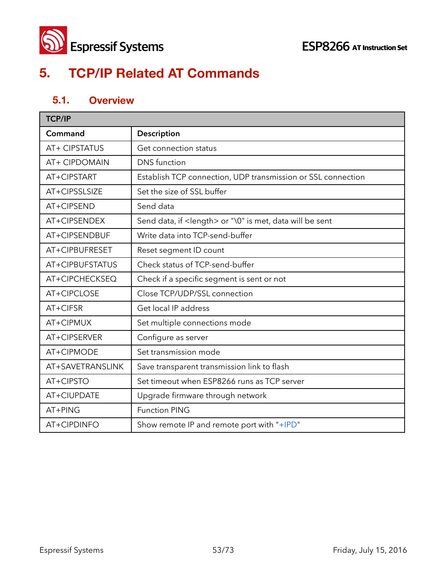

# **5. TCP/IP Related AT Commands**

# **5.1. Overview**

| <b>TCP/IP</b>    |                                                                   |  |
|------------------|-------------------------------------------------------------------|--|
| Command          | Description                                                       |  |
| AT+ CIPSTATUS    | Get connection status                                             |  |
| AT+ CIPDOMAIN    | <b>DNS</b> function                                               |  |
| AT+CIPSTART      | Establish TCP connection, UDP transmission or SSL connection      |  |
| AT+CIPSSLSIZE    | Set the size of SSL buffer                                        |  |
| AT+CIPSEND       | Send data                                                         |  |
| AT+CIPSENDEX     | Send data, if <length> or "\0" is met, data will be sent</length> |  |
| AT+CIPSENDBUF    | Write data into TCP-send-buffer                                   |  |
| AT+CIPBUFRESET   | Reset segment ID count                                            |  |
| AT+CIPBUFSTATUS  | Check status of TCP-send-buffer                                   |  |
| AT+CIPCHECKSEQ   | Check if a specific segment is sent or not                        |  |
| AT+CIPCLOSE      | Close TCP/UDP/SSL connection                                      |  |
| AT+CIFSR         | Get local IP address                                              |  |
| AT+CIPMUX        | Set multiple connections mode                                     |  |
| AT+CIPSERVER     | Configure as server                                               |  |
| AT+CIPMODE       | Set transmission mode                                             |  |
| AT+SAVETRANSLINK | Save transparent transmission link to flash                       |  |
| AT+CIPSTO        | Set timeout when ESP8266 runs as TCP server                       |  |
| AT+CIUPDATE      | Upgrade firmware through network                                  |  |
| AT+PING          | <b>Function PING</b>                                              |  |
| AT+CIPDINFO      | Show remote IP and remote port with "+IPD"                        |  |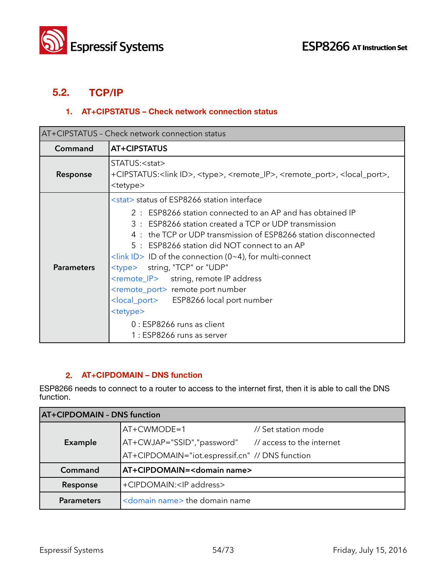

# **5.2. TCP/IP**

# **1. AT+CIPSTATUS – Check network connection status**

| AT+CIPSTATUS - Check network connection status |                                                                                                                                                                                                                                                                                                                                                                                                                                                                                                                                                                                                                                                                              |
|------------------------------------------------|------------------------------------------------------------------------------------------------------------------------------------------------------------------------------------------------------------------------------------------------------------------------------------------------------------------------------------------------------------------------------------------------------------------------------------------------------------------------------------------------------------------------------------------------------------------------------------------------------------------------------------------------------------------------------|
| Command                                        | AT+CIPSTATUS                                                                                                                                                                                                                                                                                                                                                                                                                                                                                                                                                                                                                                                                 |
| Response                                       | STATUS: <stat><br/>+CIPSTATUS:<link id=""/>, <type>, <remote_ip>, <remote_port>, <local_port>,<br/><tetype></tetype></local_port></remote_port></remote_ip></type></stat>                                                                                                                                                                                                                                                                                                                                                                                                                                                                                                    |
| <b>Parameters</b>                              | <stat> status of ESP8266 station interface<br/>2 : ESP8266 station connected to an AP and has obtained IP<br/>3 : ESP8266 station created a TCP or UDP transmission<br/>4 : the TCP or UDP transmission of ESP8266 station disconnected<br/>5 : ESP8266 station did NOT connect to an AP<br/><math>\frac{1}{\sinh}</math> ID of the connection (0~4), for multi-connect<br/><type> string, "TCP" or "UDP"<br/><remote_ip> string, remote IP address<br/><remote_port> remote port number<br/><local_port> ESP8266 local port number<br/><tetype><br/>0 : ESP8266 runs as client<br/>1 : ESP8266 runs as server</tetype></local_port></remote_port></remote_ip></type></stat> |

### **2. AT+CIPDOMAIN – DNS function**

ESP8266 needs to connect to a router to access to the internet first, then it is able to call the DNS function.

| <b>AT+CIPDOMAIN - DNS function</b> |                                                      |                     |
|------------------------------------|------------------------------------------------------|---------------------|
|                                    | $AT+CWMODE=1$                                        | // Set station mode |
| Example                            | AT+CWJAP="SSID","password" // access to the internet |                     |
|                                    | AT+CIPDOMAIN="iot.espressif.cn" // DNS function      |                     |
| Command                            | AT+CIPDOMAIN= <domain name=""></domain>              |                     |
| Response                           | +CIPDOMAIN: <ip address=""></ip>                     |                     |
| <b>Parameters</b>                  | <domain name=""> the domain name</domain>            |                     |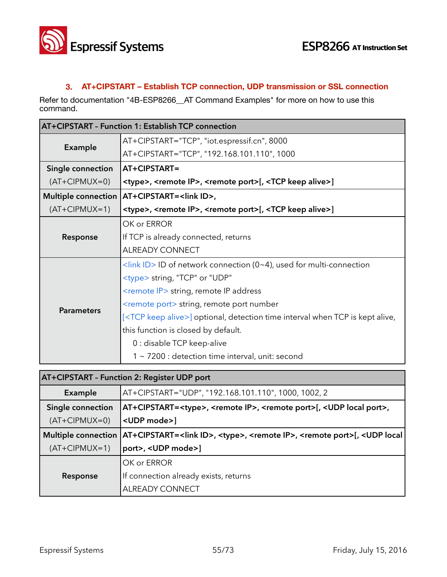

### **3. AT+CIPSTART – Establish TCP connection, UDP transmission or SSL connection**

Refer to documentation "4B-ESP8266\_\_AT Command Examples" for more on how to use this command.

| <b>AT+CIPSTART - Function 1: Establish TCP connection</b> |                                                                                                   |
|-----------------------------------------------------------|---------------------------------------------------------------------------------------------------|
|                                                           | AT+CIPSTART="TCP", "iot.espressif.cn", 8000                                                       |
| Example                                                   | AT+CIPSTART="TCP", "192.168.101.110", 1000                                                        |
| Single connection                                         | AT+CIPSTART=                                                                                      |
| $(AT+CIPMUX=0)$                                           | <type>, <remote ip="">, <remote port="">[, <tcp alive="" keep="">]</tcp></remote></remote></type> |
| <b>Multiple connection</b>                                | AT+CIPSTART= <link id=""/> ,                                                                      |
| $(AT+CIPMUX=1)$                                           | <type>, <remote ip="">, <remote port="">[, <tcp alive="" keep="">]</tcp></remote></remote></type> |
|                                                           | OK or ERROR                                                                                       |
| Response                                                  | If TCP is already connected, returns                                                              |
|                                                           | <b>ALREADY CONNECT</b>                                                                            |
|                                                           | $\frac{1}{2}$ <link id=""/> ID of network connection (0~4), used for multi-connection             |
|                                                           | <type> string, "TCP" or "UDP"</type>                                                              |
|                                                           | <remote ip=""> string, remote IP address</remote>                                                 |
| <b>Parameters</b>                                         | <remote port=""> string, remote port number</remote>                                              |
|                                                           | [ <tcp alive="" keep="">] optional, detection time interval when TCP is kept alive,</tcp>         |
|                                                           | this function is closed by default.                                                               |
|                                                           | 0 : disable TCP keep-alive                                                                        |
|                                                           | 1 ~ 7200 : detection time interval, unit: second                                                  |

| <b>AT+CIPSTART - Function 2: Register UDP port</b> |                                                                                                                              |
|----------------------------------------------------|------------------------------------------------------------------------------------------------------------------------------|
| Example                                            | AT+CIPSTART="UDP", "192.168.101.110", 1000, 1002, 2                                                                          |
| Single connection                                  | AT+CIPSTART= <type>, <remote ip="">, <remote port="">[, <udp local="" port="">,</udp></remote></remote></type>               |
| $(AT+CIPMUX=0)$                                    | <udp mode="">]</udp>                                                                                                         |
| Multiple connection                                | AT+CIPSTART= <link id=""/> , <type>, <remote ip="">, <remote port="">[, <udp local<="" th=""></udp></remote></remote></type> |
| $(AT+CIPMUX=1)$                                    | port>, <udp mode="">]</udp>                                                                                                  |
|                                                    | OK or ERROR                                                                                                                  |
| Response                                           | If connection already exists, returns                                                                                        |
|                                                    | ALREADY CONNECT                                                                                                              |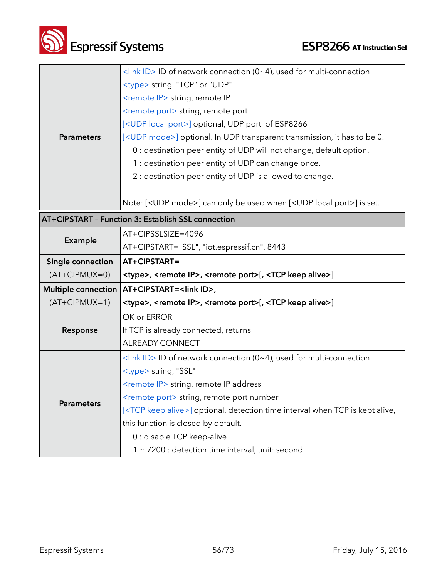| Superessif Systems |
|--------------------|
|                    |

г

|                            | <link id=""/> ID of network connection (0~4), used for multi-connection                           |
|----------------------------|---------------------------------------------------------------------------------------------------|
|                            | <type> string, "TCP" or "UDP"</type>                                                              |
|                            | <remote ip=""> string, remote IP</remote>                                                         |
|                            | <remote port=""> string, remote port</remote>                                                     |
|                            | [ <udp local="" port="">] optional, UDP port of ESP8266</udp>                                     |
| <b>Parameters</b>          | [ <udp mode="">] optional. In UDP transparent transmission, it has to be 0.</udp>                 |
|                            | 0 : destination peer entity of UDP will not change, default option.                               |
|                            |                                                                                                   |
|                            | 1 : destination peer entity of UDP can change once.                                               |
|                            | 2 : destination peer entity of UDP is allowed to change.                                          |
|                            |                                                                                                   |
|                            | Note: [ <udp mode="">] can only be used when [<udp local="" port="">] is set.</udp></udp>         |
|                            | AT+CIPSTART - Function 3: Establish SSL connection                                                |
|                            | AT+CIPSSLSIZE=4096                                                                                |
| Example                    | AT+CIPSTART="SSL", "iot.espressif.cn", 8443                                                       |
| Single connection          | AT+CIPSTART=                                                                                      |
|                            |                                                                                                   |
| $(AT+CIPMUX=0)$            | <type>, <remote ip="">, <remote port="">[, <tcp alive="" keep="">]</tcp></remote></remote></type> |
| <b>Multiple connection</b> | AT+CIPSTART= <link id=""/> ,                                                                      |
| $(AT+CIPMUX=1)$            | <type>, <remote ip="">, <remote port="">[, <tcp alive="" keep="">]</tcp></remote></remote></type> |
|                            | OK or ERROR                                                                                       |
| Response                   | If TCP is already connected, returns                                                              |
|                            | <b>ALREADY CONNECT</b>                                                                            |
|                            | <link id=""/> ID of network connection (0~4), used for multi-connection                           |
|                            | <type> string, "SSL"</type>                                                                       |
|                            | <remote ip=""> string, remote IP address</remote>                                                 |
|                            | <remote port=""> string, remote port number</remote>                                              |
| <b>Parameters</b>          | [ <tcp alive="" keep="">] optional, detection time interval when TCP is kept alive,</tcp>         |
|                            | this function is closed by default.                                                               |
|                            | 0 : disable TCP keep-alive                                                                        |
|                            |                                                                                                   |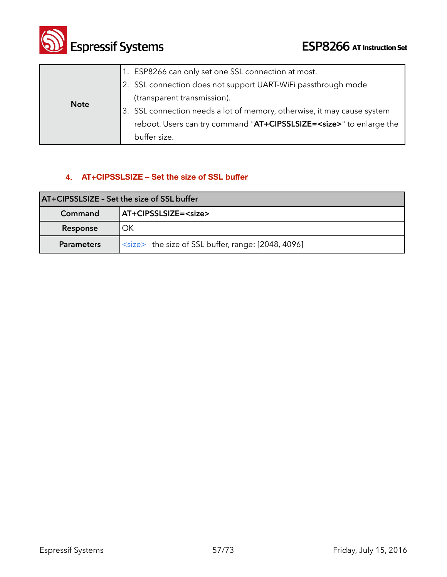

|             | 1. ESP8266 can only set one SSL connection at most.                         |
|-------------|-----------------------------------------------------------------------------|
|             | 2. SSL connection does not support UART-WiFi passthrough mode               |
| <b>Note</b> | (transparent transmission).                                                 |
|             | 3. SSL connection needs a lot of memory, otherwise, it may cause system     |
|             | reboot. Users can try command "AT+CIPSSLSIZE= <size>" to enlarge the</size> |
|             | buffer size.                                                                |

# **4. AT+CIPSSLSIZE – Set the size of SSL buffer**

| AT+CIPSSLSIZE - Set the size of SSL buffer |                                                           |  |
|--------------------------------------------|-----------------------------------------------------------|--|
| Command                                    | AT+CIPSSLSIZE= <size></size>                              |  |
| Response                                   | ОΚ                                                        |  |
| <b>Parameters</b>                          | <size> the size of SSL buffer, range: [2048, 4096]</size> |  |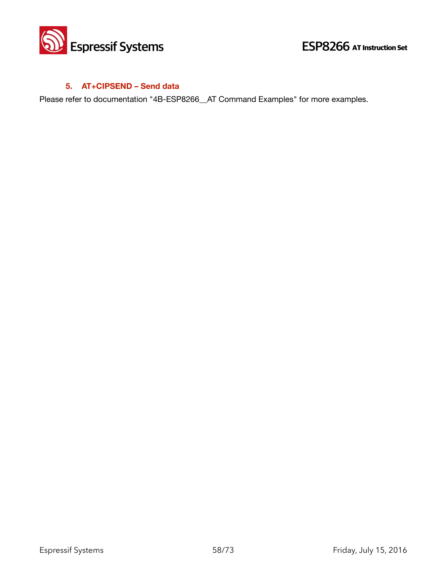

## **5. AT+CIPSEND – Send data**

Please refer to documentation "4B-ESP8266\_AT Command Examples" for more examples.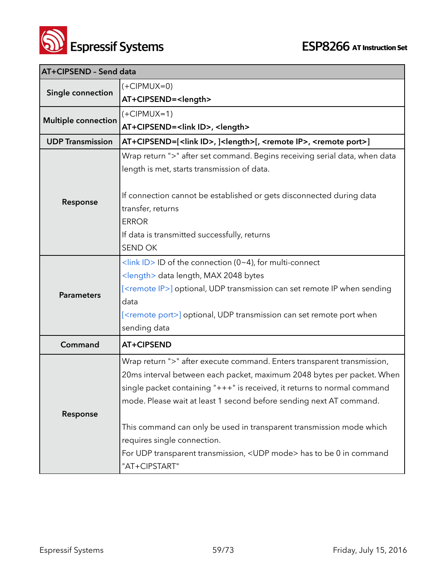

| AT+CIPSEND - Send data     |                                                                                                        |
|----------------------------|--------------------------------------------------------------------------------------------------------|
| Single connection          | $(+CIPMUX=0)$                                                                                          |
|                            | AT+CIPSEND= <length></length>                                                                          |
| <b>Multiple connection</b> | $(+CIPMUX=1)$                                                                                          |
|                            | AT+CIPSEND= <link id=""/> , <length></length>                                                          |
| <b>UDP Transmission</b>    | AT+CIPSEND=[ <link id=""/> , ] <length>[, <remote ip="">, <remote port="">]</remote></remote></length> |
|                            | Wrap return ">" after set command. Begins receiving serial data, when data                             |
|                            | length is met, starts transmission of data.                                                            |
|                            |                                                                                                        |
| Response                   | If connection cannot be established or gets disconnected during data                                   |
|                            | transfer, returns                                                                                      |
|                            | <b>ERROR</b>                                                                                           |
|                            | If data is transmitted successfully, returns                                                           |
|                            | <b>SEND OK</b>                                                                                         |
|                            | <link id=""/> ID of the connection (0~4), for multi-connect                                            |
|                            | <length> data length, MAX 2048 bytes</length>                                                          |
| <b>Parameters</b>          | [ <remote ip="">] optional, UDP transmission can set remote IP when sending</remote>                   |
|                            | data                                                                                                   |
|                            | [ <remote port="">] optional, UDP transmission can set remote port when</remote>                       |
|                            | sending data                                                                                           |
| Command                    | AT+CIPSEND                                                                                             |
|                            | Wrap return ">" after execute command. Enters transparent transmission,                                |
|                            | 20ms interval between each packet, maximum 2048 bytes per packet. When                                 |
|                            | single packet containing "+++" is received, it returns to normal command                               |
|                            | mode. Please wait at least 1 second before sending next AT command.                                    |
| Response                   |                                                                                                        |
|                            | This command can only be used in transparent transmission mode which                                   |
|                            | requires single connection.                                                                            |
|                            | For UDP transparent transmission, <udp mode=""> has to be 0 in command</udp>                           |
|                            | "AT+CIPSTART"                                                                                          |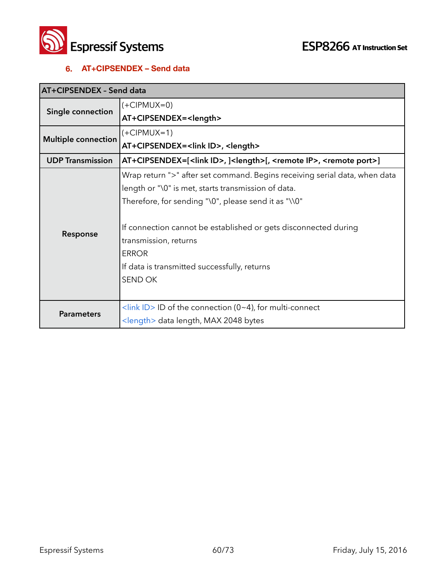

### **6. AT+CIPSENDEX – Send data**

| AT+CIPSENDEX - Send data   |                                                                                                          |
|----------------------------|----------------------------------------------------------------------------------------------------------|
| Single connection          | $(+CIPMUX=0)$                                                                                            |
|                            | AT+CIPSENDEX= <length></length>                                                                          |
| <b>Multiple connection</b> | $(+CIPMUX=1)$                                                                                            |
|                            | AT+CIPSENDEX= <link id=""/> , <length></length>                                                          |
| <b>UDP Transmission</b>    | AT+CIPSENDEX=[ <link id=""/> , ] <length>[, <remote ip="">, <remote port="">]</remote></remote></length> |
|                            | Wrap return ">" after set command. Begins receiving serial data, when data                               |
|                            | length or "\0" is met, starts transmission of data.                                                      |
|                            | Therefore, for sending "\0", please send it as "\\0"                                                     |
|                            |                                                                                                          |
| Response                   | If connection cannot be established or gets disconnected during                                          |
|                            | transmission, returns                                                                                    |
|                            | <b>ERROR</b>                                                                                             |
|                            | If data is transmitted successfully, returns                                                             |
|                            | SEND OK                                                                                                  |
|                            |                                                                                                          |
| <b>Parameters</b>          | $\frac{1}{\sin k}$ ID > ID of the connection (0~4), for multi-connect                                    |
|                            | <length> data length, MAX 2048 bytes</length>                                                            |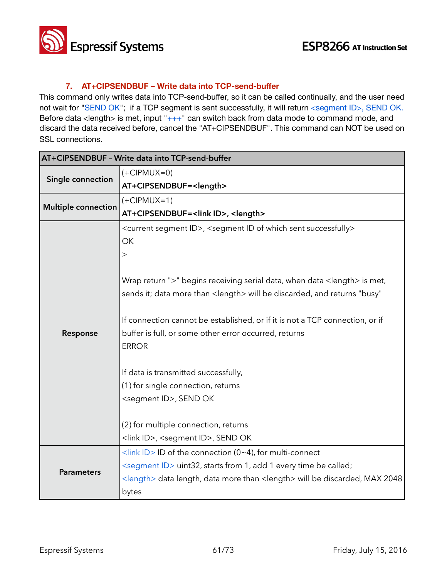

### **7. AT+CIPSENDBUF – Write data into TCP-send-buffer**

This command only writes data into TCP-send-buffer, so it can be called continually, and the user need not wait for "SEND OK"; if a TCP segment is sent successfully, it will return <segment ID>, SEND OK. Before data <length> is met, input " $+++$ " can switch back from data mode to command mode, and discard the data received before, cancel the "AT+CIPSENDBUF". This command can NOT be used on SSL connections.

|                            | AT+CIPSENDBUF - Write data into TCP-send-buffer                                                        |  |
|----------------------------|--------------------------------------------------------------------------------------------------------|--|
| Single connection          | $(+CIPMUX=0)$                                                                                          |  |
|                            | AT+CIPSENDBUF= <length></length>                                                                       |  |
| <b>Multiple connection</b> | $(+CIPMUX=1)$                                                                                          |  |
|                            | AT+CIPSENDBUF= <link id=""/> , <length></length>                                                       |  |
|                            | <current id="" segment="">, <segment id="" of="" sent="" successfully="" which=""></segment></current> |  |
|                            | OK                                                                                                     |  |
|                            | $\rm{>}$                                                                                               |  |
|                            |                                                                                                        |  |
|                            | Wrap return ">" begins receiving serial data, when data <length> is met,</length>                      |  |
|                            | sends it; data more than <length> will be discarded, and returns "busy"</length>                       |  |
|                            |                                                                                                        |  |
|                            | If connection cannot be established, or if it is not a TCP connection, or if                           |  |
| Response                   | buffer is full, or some other error occurred, returns                                                  |  |
|                            | <b>ERROR</b>                                                                                           |  |
|                            | If data is transmitted successfully,                                                                   |  |
|                            | (1) for single connection, returns                                                                     |  |
|                            | <segment id="">, SEND OK</segment>                                                                     |  |
|                            |                                                                                                        |  |
|                            | (2) for multiple connection, returns                                                                   |  |
|                            | <link id=""/> , <segment id="">, SEND OK</segment>                                                     |  |
|                            | <link id=""/> ID of the connection (0~4), for multi-connect                                            |  |
|                            | <segment id=""> uint32, starts from 1, add 1 every time be called;</segment>                           |  |
| <b>Parameters</b>          | <length> data length, data more than <length> will be discarded, MAX 2048</length></length>            |  |
|                            | bytes                                                                                                  |  |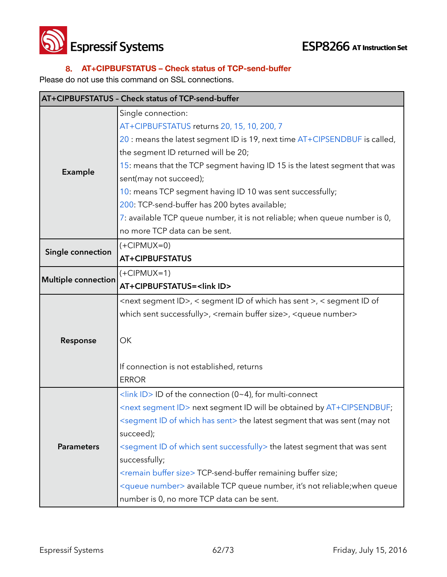



# **8. AT+CIPBUFSTATUS – Check status of TCP-send-buffer**

Please do not use this command on SSL connections.

|                            | AT+CIPBUFSTATUS - Check status of TCP-send-buffer                                                 |
|----------------------------|---------------------------------------------------------------------------------------------------|
|                            | Single connection:                                                                                |
|                            | AT+CIPBUFSTATUS returns 20, 15, 10, 200, 7                                                        |
|                            | 20 : means the latest segment ID is 19, next time AT+CIPSENDBUF is called,                        |
|                            | the segment ID returned will be 20;                                                               |
|                            | 15: means that the TCP segment having ID 15 is the latest segment that was                        |
| Example                    | sent(may not succeed);                                                                            |
|                            | 10: means TCP segment having ID 10 was sent successfully;                                         |
|                            | 200: TCP-send-buffer has 200 bytes available;                                                     |
|                            | 7: available TCP queue number, it is not reliable; when queue number is 0,                        |
|                            | no more TCP data can be sent.                                                                     |
|                            | $(+CIPMUX=0)$                                                                                     |
| Single connection          | <b>AT+CIPBUFSTATUS</b>                                                                            |
|                            | $(+CIPMUX=1)$                                                                                     |
| <b>Multiple connection</b> | AT+CIPBUFSTATUS= <link id=""/>                                                                    |
|                            | <next id="" segment="">, &lt; segment ID of which has sent &gt;, &lt; segment ID of</next>        |
|                            | which sent successfully>, <remain buffer="" size="">, <queue number=""></queue></remain>          |
|                            |                                                                                                   |
| Response                   | OK                                                                                                |
|                            |                                                                                                   |
|                            | If connection is not established, returns                                                         |
|                            | <b>ERROR</b>                                                                                      |
|                            | <link id=""/> ID of the connection (0~4), for multi-connect                                       |
|                            | <next id="" segment=""> next segment ID will be obtained by AT+CIPSENDBUF;</next>                 |
|                            | <segment has="" id="" of="" sent="" which=""> the latest segment that was sent (may not</segment> |
|                            | succeed);                                                                                         |
| <b>Parameters</b>          | <segment id="" of="" sent="" successfully="" which=""> the latest segment that was sent</segment> |
|                            | successfully;                                                                                     |
|                            | <remain buffer="" size=""> TCP-send-buffer remaining buffer size;</remain>                        |
|                            | <queue number=""> available TCP queue number, it's not reliable; when queue</queue>               |
|                            | number is 0, no more TCP data can be sent.                                                        |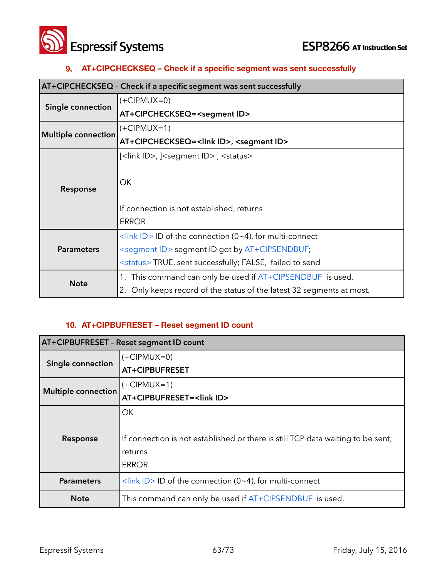



### **9. AT+CIPCHECKSEQ – Check if a specific segment was sent successfully**

| AT+CIPCHECKSEQ - Check if a specific segment was sent successfully |                                                                       |
|--------------------------------------------------------------------|-----------------------------------------------------------------------|
| Single connection                                                  | $(+CIPMUX=0)$                                                         |
|                                                                    | AT+CIPCHECKSEQ= <segment id=""></segment>                             |
|                                                                    | (+CIPMUX=1)                                                           |
| <b>Multiple connection</b>                                         | AT+CIPCHECKSEQ= <link id=""/> , <segment id=""></segment>             |
|                                                                    | [ <link id=""/> , ] <segment id="">, <status></status></segment>      |
| Response                                                           | OK                                                                    |
|                                                                    | If connection is not established, returns                             |
|                                                                    | <b>ERROR</b>                                                          |
| <b>Parameters</b>                                                  | $\frac{1}{\sin k}$ ID > ID of the connection (0~4), for multi-connect |
|                                                                    | <segment id=""> segment ID got by AT+CIPSENDBUF;</segment>            |
|                                                                    | <status> TRUE, sent successfully; FALSE, failed to send</status>      |
| <b>Note</b>                                                        | This command can only be used if $AT+CIPSENDBUF$ is used.<br>1.       |
|                                                                    | Only keeps record of the status of the latest 32 segments at most.    |

### **10. AT+CIPBUFRESET – Reset segment ID count**

| <b>AT+CIPBUFRESET - Reset segment ID count</b> |                                                                                 |
|------------------------------------------------|---------------------------------------------------------------------------------|
| Single connection                              | $(+CIPMUX=0)$                                                                   |
|                                                | AT+CIPBUFRESET                                                                  |
| <b>Multiple connection</b>                     | $(+CIPMUX=1)$                                                                   |
|                                                | AT+CIPBUFRESET= <link id=""/>                                                   |
|                                                | ОK                                                                              |
| Response                                       |                                                                                 |
|                                                | If connection is not established or there is still TCP data waiting to be sent, |
|                                                | returns                                                                         |
|                                                | <b>ERROR</b>                                                                    |
| <b>Parameters</b>                              | $\frac{1}{2}$ <link id=""/> ID of the connection (0~4), for multi-connect       |
| <b>Note</b>                                    | This command can only be used if AT+CIPSENDBUF is used.                         |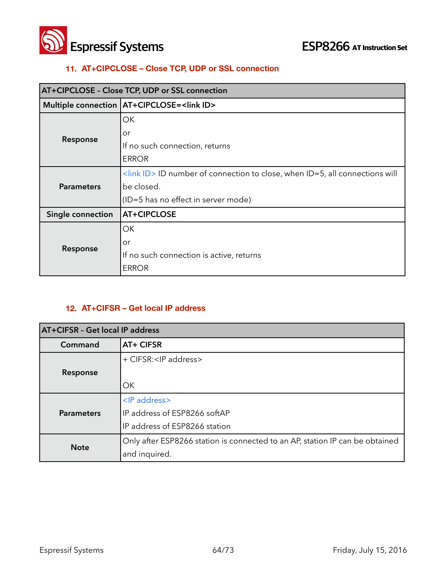



### **11. AT+CIPCLOSE – Close TCP, UDP or SSL connection**

| <b>AT+CIPCLOSE - Close TCP, UDP or SSL connection</b> |                                                                                               |
|-------------------------------------------------------|-----------------------------------------------------------------------------------------------|
|                                                       | Multiple connection   AT+CIPCLOSE= <link id=""/>                                              |
|                                                       | ОК                                                                                            |
|                                                       | or                                                                                            |
| Response                                              | If no such connection, returns                                                                |
|                                                       | <b>ERROR</b>                                                                                  |
| <b>Parameters</b>                                     | $\frac{1}{2}$ <link id=""/> ID number of connection to close, when ID=5, all connections will |
|                                                       | be closed.                                                                                    |
|                                                       | (ID=5 has no effect in server mode)                                                           |
| Single connection                                     | AT+CIPCLOSE                                                                                   |
| Response                                              | OK                                                                                            |
|                                                       | or                                                                                            |
|                                                       | If no such connection is active, returns                                                      |
|                                                       | <b>ERROR</b>                                                                                  |

### **12. AT+CIFSR – Get local IP address**

| AT+CIFSR - Get local IP address |                                                                              |
|---------------------------------|------------------------------------------------------------------------------|
| Command                         | AT+ CIFSR                                                                    |
|                                 | + CIFSR: <ip address=""></ip>                                                |
| Response                        |                                                                              |
|                                 | OK                                                                           |
|                                 | <ip address=""></ip>                                                         |
| <b>Parameters</b>               | IP address of ESP8266 softAP                                                 |
|                                 | IP address of ESP8266 station                                                |
| <b>Note</b>                     | Only after ESP8266 station is connected to an AP, station IP can be obtained |
|                                 | and inquired.                                                                |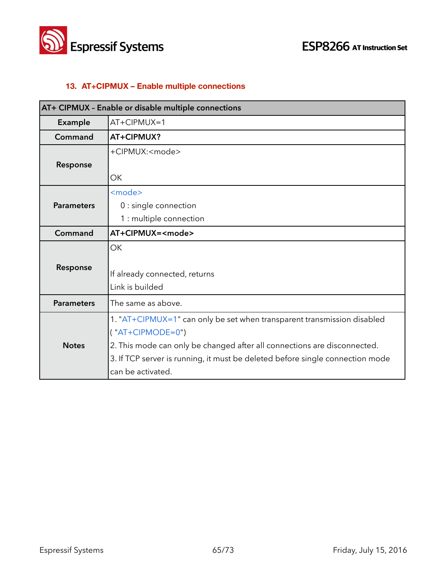



# **13. AT+CIPMUX – Enable multiple connections**

|                   | AT+ CIPMUX - Enable or disable multiple connections                           |
|-------------------|-------------------------------------------------------------------------------|
| Example           | $AT+CIPMUX=1$                                                                 |
| Command           | AT+CIPMUX?                                                                    |
|                   | +CIPMUX: <mode></mode>                                                        |
| Response          |                                                                               |
|                   | OK                                                                            |
|                   | <mode></mode>                                                                 |
| <b>Parameters</b> | 0 : single connection                                                         |
|                   | 1 : multiple connection                                                       |
| Command           | AT+CIPMUX= <mode></mode>                                                      |
|                   | <b>OK</b>                                                                     |
| Response          |                                                                               |
|                   | If already connected, returns                                                 |
|                   | Link is builded                                                               |
| <b>Parameters</b> | The same as above.                                                            |
|                   | 1. "AT+CIPMUX=1" can only be set when transparent transmission disabled       |
|                   | $('AT+CIPMODE=0")$                                                            |
| <b>Notes</b>      | 2. This mode can only be changed after all connections are disconnected.      |
|                   | 3. If TCP server is running, it must be deleted before single connection mode |
|                   | can be activated.                                                             |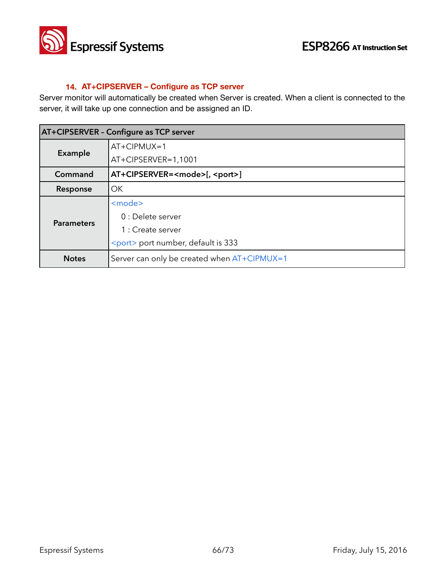

### **14. AT+CIPSERVER – Configure as TCP server**

Server monitor will automatically be created when Server is created. When a client is connected to the server, it will take up one connection and be assigned an ID.

| <b>AT+CIPSERVER - Configure as TCP server</b> |                                              |
|-----------------------------------------------|----------------------------------------------|
| Example                                       | $AT+CIPMUX=1$                                |
|                                               | AT+CIPSERVER=1,1001                          |
| Command                                       | AT+CIPSERVER= <mode>[, <port>]</port></mode> |
| Response                                      | OK                                           |
| <b>Parameters</b>                             | <mode></mode>                                |
|                                               | 0 : Delete server                            |
|                                               | 1 : Create server                            |
|                                               | <port> port number, default is 333</port>    |
| <b>Notes</b>                                  | Server can only be created when AT+CIPMUX=1  |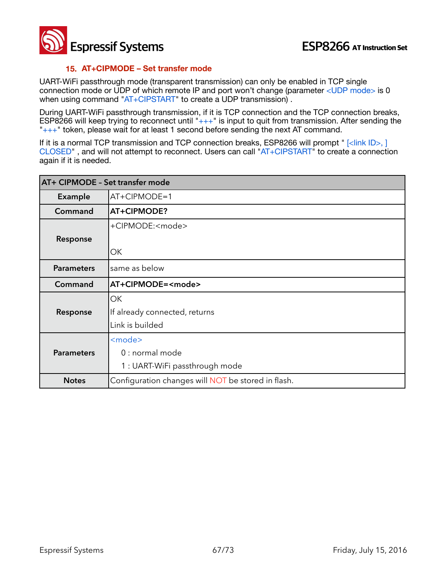### **15. AT+CIPMODE – Set transfer mode**

UART-WiFi passthrough mode (transparent transmission) can only be enabled in TCP single connection mode or UDP of which remote IP and port won't change (parameter <UDP mode> is 0 when using command "AT+CIPSTART" to create a UDP transmission).

During UART-WiFi passthrough transmission, if it is TCP connection and the TCP connection breaks, ESP8266 will keep trying to reconnect until  $\frac{1}{1}$ +++" is input to quit from transmission. After sending the  $"++"$  token, please wait for at least 1 second before sending the next AT command.

If it is a normal TCP transmission and TCP connection breaks, ESP8266 will prompt " [<link ID>, ] CLOSED" , and will not attempt to reconnect. Users can call "AT+CIPSTART" to create a connection again if it is needed.

| AT+ CIPMODE - Set transfer mode |                                                    |
|---------------------------------|----------------------------------------------------|
| <b>Example</b>                  | $AT+CIPMODE=1$                                     |
| Command                         | AT+CIPMODE?                                        |
|                                 | +CIPMODE: <mode></mode>                            |
| Response                        |                                                    |
|                                 | OK                                                 |
| <b>Parameters</b>               | same as below                                      |
| Command                         | AT+CIPMODE= <mode></mode>                          |
|                                 | OK                                                 |
| Response                        | If already connected, returns                      |
|                                 | Link is builded                                    |
|                                 | <mode></mode>                                      |
| <b>Parameters</b>               | 0 : normal mode                                    |
|                                 | 1 : UART-WiFi passthrough mode                     |
| <b>Notes</b>                    | Configuration changes will NOT be stored in flash. |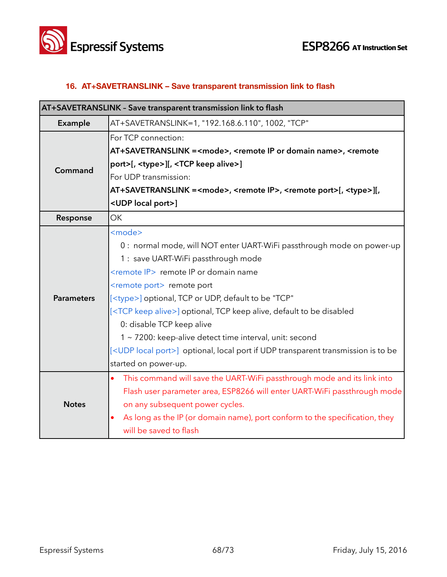



# **16. AT+SAVETRANSLINK – Save transparent transmission link to flash**

| AT+SAVETRANSLINK - Save transparent transmission link to flash |                                                                                                                                                                                                                                                                                                                                                                                                                                                                                                                                                                                                       |
|----------------------------------------------------------------|-------------------------------------------------------------------------------------------------------------------------------------------------------------------------------------------------------------------------------------------------------------------------------------------------------------------------------------------------------------------------------------------------------------------------------------------------------------------------------------------------------------------------------------------------------------------------------------------------------|
| Example                                                        | AT+SAVETRANSLINK=1, "192.168.6.110", 1002, "TCP"                                                                                                                                                                                                                                                                                                                                                                                                                                                                                                                                                      |
| Command                                                        | For TCP connection:<br>AT+SAVETRANSLINK = <mode>, <remote domain="" ip="" name="" or="">, <remote< th=""></remote<></remote></mode>                                                                                                                                                                                                                                                                                                                                                                                                                                                                   |
|                                                                | port>[, <type>][, <tcp alive="" keep="">]</tcp></type>                                                                                                                                                                                                                                                                                                                                                                                                                                                                                                                                                |
|                                                                | For UDP transmission:<br>AT+SAVETRANSLINK = <mode>, <remote ip="">, <remote port="">[, <type>][,</type></remote></remote></mode>                                                                                                                                                                                                                                                                                                                                                                                                                                                                      |
|                                                                | <udp local="" port="">]</udp>                                                                                                                                                                                                                                                                                                                                                                                                                                                                                                                                                                         |
| Response                                                       | OK                                                                                                                                                                                                                                                                                                                                                                                                                                                                                                                                                                                                    |
| <b>Parameters</b>                                              | <mode><br/>0 : normal mode, will NOT enter UART-WiFi passthrough mode on power-up<br/>1 : save UART-WiFi passthrough mode<br/><remote ip=""> remote IP or domain name<br/><remote port=""> remote port<br/>[<type>] optional, TCP or UDP, default to be "TCP"<br/>[<tcp alive="" keep="">] optional, TCP keep alive, default to be disabled<br/>0: disable TCP keep alive<br/>1 ~ 7200: keep-alive detect time interval, unit: second<br/>[<udp local="" port="">] optional, local port if UDP transparent transmission is to be<br/>started on power-up.</udp></tcp></type></remote></remote></mode> |
| <b>Notes</b>                                                   | This command will save the UART-WiFi passthrough mode and its link into<br>$\bullet$<br>Flash user parameter area, ESP8266 will enter UART-WiFi passthrough mode<br>on any subsequent power cycles.<br>As long as the IP (or domain name), port conform to the specification, they<br>will be saved to flash                                                                                                                                                                                                                                                                                          |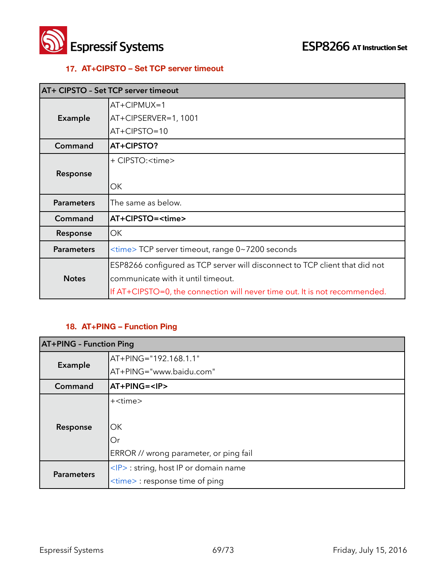



### **17. AT+CIPSTO – Set TCP server timeout**

| AT+ CIPSTO - Set TCP server timeout |                                                                             |
|-------------------------------------|-----------------------------------------------------------------------------|
|                                     | $AT+CIPMUX=1$                                                               |
| <b>Example</b>                      | AT+CIPSERVER=1, 1001                                                        |
|                                     | AT+CIPSTO=10                                                                |
| Command                             | AT+CIPSTO?                                                                  |
|                                     | + CIPSTO: < time>                                                           |
| Response                            |                                                                             |
|                                     | OK                                                                          |
| <b>Parameters</b>                   | The same as below.                                                          |
| Command                             | AT+CIPSTO= <time></time>                                                    |
| Response                            | OK                                                                          |
| <b>Parameters</b>                   | <time> TCP server timeout, range 0~7200 seconds</time>                      |
|                                     | ESP8266 configured as TCP server will disconnect to TCP client that did not |
| <b>Notes</b>                        | communicate with it until timeout.                                          |
|                                     | If AT+CIPSTO=0, the connection will never time out. It is not recommended.  |

# **18. AT+PING – Function Ping**

| <b>AT+PING - Function Ping</b> |                                                      |
|--------------------------------|------------------------------------------------------|
| Example                        | AT+PING="192.168.1.1"                                |
|                                | AT+PING="www.baidu.com"                              |
| Command                        | AT+PING= <ip></ip>                                   |
|                                | + <time></time>                                      |
|                                |                                                      |
| Response                       | ОK                                                   |
|                                | Or                                                   |
|                                | ERROR // wrong parameter, or ping fail               |
| <b>Parameters</b>              | $\langle P \rangle$ : string, host IP or domain name |
|                                | <time> : response time of ping</time>                |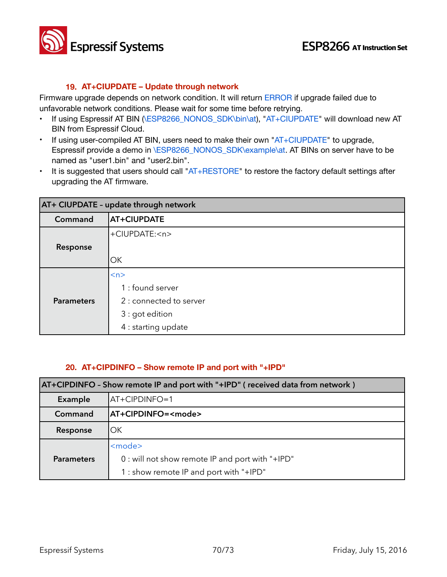

#### **19. AT+CIUPDATE – Update through network**

Firmware upgrade depends on network condition. It will return ERROR if upgrade failed due to unfavorable network conditions. Please wait for some time before retrying.

- If using Espressif AT BIN (\ESP8266\_NONOS\_SDK\bin\at), "AT+CIUPDATE" will download new AT BIN from Espressif Cloud.
- $\cdot$  If using user-compiled AT BIN, users need to make their own " $AT + C IUPDATE$ " to upgrade, Espressif provide a demo in \ESP8266\_NONOS\_SDK\example\at. AT BINs on server have to be named as "user1.bin" and "user2.bin".
- It is suggested that users should call "AT+RESTORE" to restore the factory default settings after upgrading the AT firmware.

| AT+ CIUPDATE - update through network |                         |  |  |
|---------------------------------------|-------------------------|--|--|
| Command                               | <b>AT+CIUPDATE</b>      |  |  |
|                                       | +CIUPDATE: <n></n>      |  |  |
| Response                              |                         |  |  |
|                                       | OK                      |  |  |
|                                       | < n>                    |  |  |
|                                       | 1 : found server        |  |  |
| <b>Parameters</b>                     | 2 : connected to server |  |  |
|                                       | 3 : got edition         |  |  |
|                                       | 4 : starting update     |  |  |

### **20. AT+CIPDINFO – Show remote IP and port with "+IPD"**

| AT+CIPDINFO - Show remote IP and port with "+IPD" (received data from network) |                                                                                                                |  |
|--------------------------------------------------------------------------------|----------------------------------------------------------------------------------------------------------------|--|
| Example                                                                        | AT+CIPDINFO=1                                                                                                  |  |
| Command                                                                        | AT+CIPDINFO= <mode></mode>                                                                                     |  |
| Response                                                                       | OK.                                                                                                            |  |
| <b>Parameters</b>                                                              | <mode><br/>0 : will not show remote IP and port with "+IPD"<br/>1 : show remote IP and port with "+IPD"</mode> |  |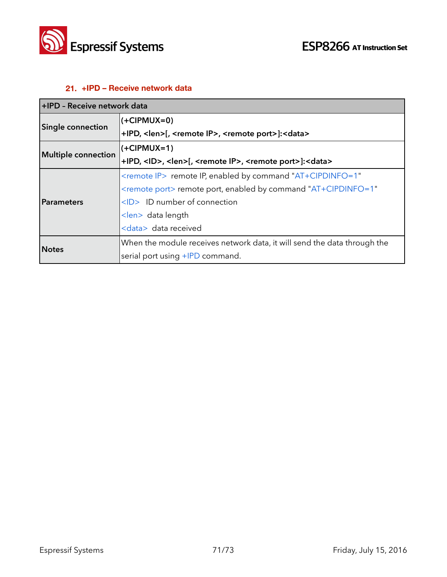

## **21. +IPD – Receive network data**

| +IPD - Receive network data |                                                                                                  |  |  |
|-----------------------------|--------------------------------------------------------------------------------------------------|--|--|
| <b>Single connection</b>    | $(+CIPMUX=0)$                                                                                    |  |  |
|                             | +IPD, <len>[, <remote ip="">, <remote port="">]:<data></data></remote></remote></len>            |  |  |
| Multiple connection         | $(+CIPMUX=1)$                                                                                    |  |  |
|                             | +IPD, <id>, <len>[, <remote ip="">, <remote port="">]:<data></data></remote></remote></len></id> |  |  |
| Parameters                  | <remote ip=""> remote IP, enabled by command "AT+CIPDINFO=1"</remote>                            |  |  |
|                             | $\le$ remote port> remote port, enabled by command "AT+CIPDINFO=1"                               |  |  |
|                             | <id> ID number of connection</id>                                                                |  |  |
|                             | $\langle$ len> data length                                                                       |  |  |
|                             | <data> data received</data>                                                                      |  |  |
| <b>Notes</b>                | When the module receives network data, it will send the data through the                         |  |  |
|                             | serial port using +IPD command.                                                                  |  |  |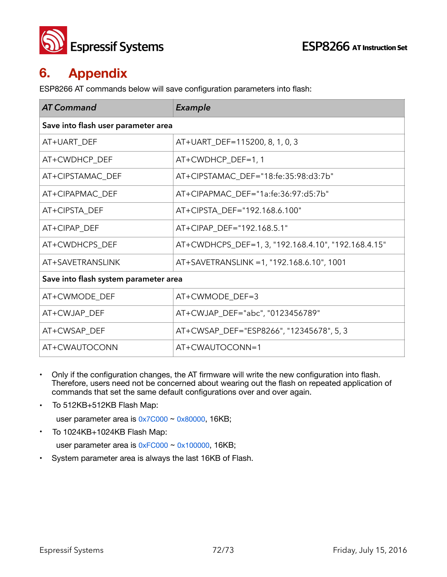

# **6. Appendix**

ESP8266 AT commands below will save configuration parameters into flash:

| <b>AT Command</b>                     | Example                                             |  |  |  |
|---------------------------------------|-----------------------------------------------------|--|--|--|
| Save into flash user parameter area   |                                                     |  |  |  |
| AT+UART_DEF                           | AT+UART_DEF=115200, 8, 1, 0, 3                      |  |  |  |
| AT+CWDHCP DEF                         | AT+CWDHCP_DEF=1, 1                                  |  |  |  |
| AT+CIPSTAMAC_DEF                      | AT+CIPSTAMAC_DEF="18:fe:35:98:d3:7b"                |  |  |  |
| AT+CIPAPMAC_DEF                       | AT+CIPAPMAC_DEF="1a:fe:36:97:d5:7b"                 |  |  |  |
| AT+CIPSTA_DEF                         | AT+CIPSTA_DEF="192.168.6.100"                       |  |  |  |
| AT+CIPAP_DEF                          | AT+CIPAP_DEF="192.168.5.1"                          |  |  |  |
| AT+CWDHCPS_DEF                        | AT+CWDHCPS_DEF=1, 3, "192.168.4.10", "192.168.4.15" |  |  |  |
| AT+SAVETRANSLINK                      | AT+SAVETRANSLINK = 1, "192.168.6.10", 1001          |  |  |  |
| Save into flash system parameter area |                                                     |  |  |  |
| AT+CWMODE_DEF                         | AT+CWMODE_DEF=3                                     |  |  |  |
| AT+CWJAP_DEF                          | AT+CWJAP_DEF="abc", "0123456789"                    |  |  |  |
| AT+CWSAP_DEF                          | AT+CWSAP_DEF="ESP8266", "12345678", 5, 3            |  |  |  |
| AT+CWAUTOCONN                         | AT+CWAUTOCONN=1                                     |  |  |  |

- Only if the configuration changes, the AT firmware will write the new configuration into flash. Therefore, users need not be concerned about wearing out the flash on repeated application of commands that set the same default configurations over and over again.
- To 512KB+512KB Flash Map:

user parameter area is  $0x7C000 \sim 0x80000$ , 16KB;

• To 1024KB+1024KB Flash Map:

user parameter area is  $0xFCO00 \sim 0x100000$ , 16KB;

• System parameter area is always the last 16KB of Flash.